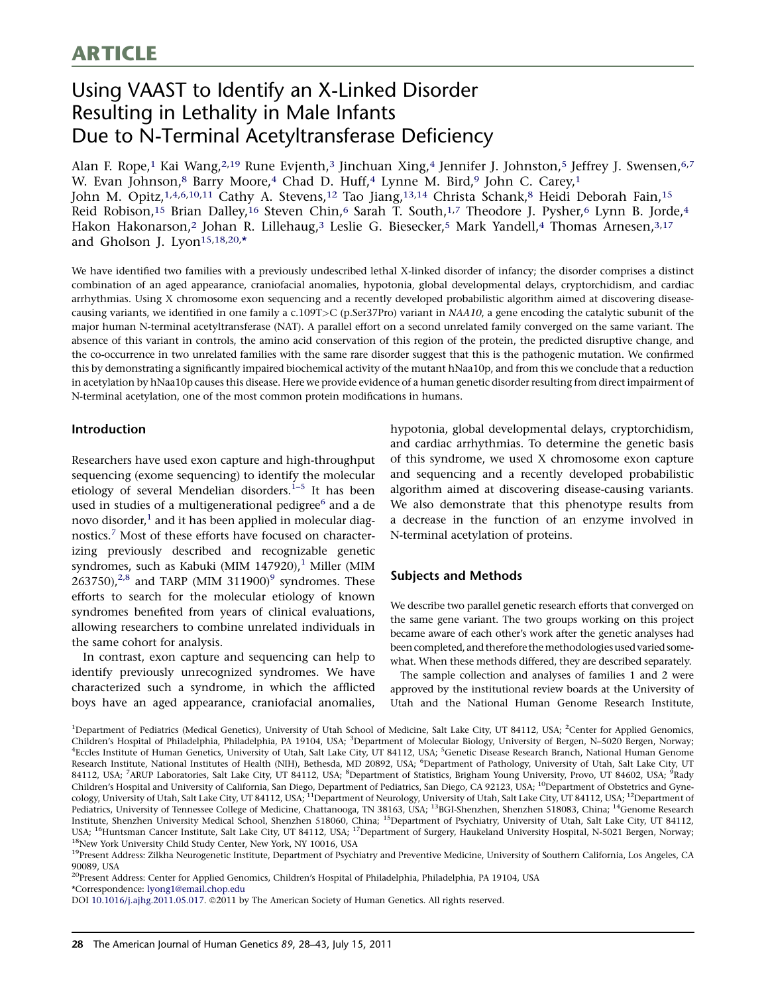# <span id="page-0-0"></span>**ARTICLE**

# Using VAAST to Identify an X-Linked Disorder Resulting in Lethality in Male Infants Due to N-Terminal Acetyltransferase Deficiency

Alan F. Rope,<sup>1</sup> Kai Wang,<sup>2,19</sup> Rune Evjenth,<sup>3</sup> Jinchuan Xing,<sup>4</sup> Jennifer J. Johnston,<sup>5</sup> Jeffrey J. Swensen,<sup>6,7</sup> W. Evan Johnson,<sup>8</sup> Barry Moore,<sup>4</sup> Chad D. Huff,<sup>4</sup> Lynne M. Bird,<sup>9</sup> John C. Carey,<sup>1</sup> John M. Opitz,<sup>1,4,6,10,11</sup> Cathy A. Stevens,<sup>12</sup> Tao Jiang,<sup>13,14</sup> Christa Schank,<sup>8</sup> Heidi Deborah Fain,<sup>15</sup> Reid Robison,<sup>15</sup> Brian Dalley,<sup>16</sup> Steven Chin,<sup>6</sup> Sarah T. South,<sup>1,7</sup> Theodore J. Pysher,<sup>6</sup> Lynn B. Jorde,<sup>4</sup> Hakon Hakonarson,<sup>2</sup> Johan R. Lillehaug,<sup>3</sup> Leslie G. Biesecker,<sup>5</sup> Mark Yandell,<sup>4</sup> Thomas Arnesen,<sup>3,17</sup> and Gholson J. Lyon<sup>15,18,20,\*</sup>

We have identified two families with a previously undescribed lethal X-linked disorder of infancy; the disorder comprises a distinct combination of an aged appearance, craniofacial anomalies, hypotonia, global developmental delays, cryptorchidism, and cardiac arrhythmias. Using X chromosome exon sequencing and a recently developed probabilistic algorithm aimed at discovering diseasecausing variants, we identified in one family a c.109T>C (p.Ser37Pro) variant in NAA10, a gene encoding the catalytic subunit of the major human N-terminal acetyltransferase (NAT). A parallel effort on a second unrelated family converged on the same variant. The absence of this variant in controls, the amino acid conservation of this region of the protein, the predicted disruptive change, and the co-occurrence in two unrelated families with the same rare disorder suggest that this is the pathogenic mutation. We confirmed this by demonstrating a significantly impaired biochemical activity of the mutant hNaa10p, and from this we conclude that a reduction in acetylation by hNaa10p causes this disease. Here we provide evidence of a human genetic disorder resulting from direct impairment of N-terminal acetylation, one of the most common protein modifications in humans.

### Introduction

Researchers have used exon capture and high-throughput sequencing (exome sequencing) to identify the molecular etiology of several Mendelian disorders.<sup>[1–5](#page-14-0)</sup> It has been used in studies of a multigenerational pedigree<sup>[6](#page-14-0)</sup> and a de novo disorder, $<sup>1</sup>$  $<sup>1</sup>$  $<sup>1</sup>$  and it has been applied in molecular diag-</sup> nostics.<sup>[7](#page-14-0)</sup> Most of these efforts have focused on characterizing previously described and recognizable genetic syndromes, such as Kabuki (MIM [1](#page-14-0)47920), $1$  Miller (MIM  $263750$ ,<sup>[2,8](#page-14-0)</sup> and TARP (MIM 311[9](#page-14-0)00)<sup>9</sup> syndromes. These efforts to search for the molecular etiology of known syndromes benefited from years of clinical evaluations, allowing researchers to combine unrelated individuals in the same cohort for analysis.

In contrast, exon capture and sequencing can help to identify previously unrecognized syndromes. We have characterized such a syndrome, in which the afflicted boys have an aged appearance, craniofacial anomalies,

hypotonia, global developmental delays, cryptorchidism, and cardiac arrhythmias. To determine the genetic basis of this syndrome, we used X chromosome exon capture and sequencing and a recently developed probabilistic algorithm aimed at discovering disease-causing variants. We also demonstrate that this phenotype results from a decrease in the function of an enzyme involved in N-terminal acetylation of proteins.

# Subjects and Methods

We describe two parallel genetic research efforts that converged on the same gene variant. The two groups working on this project became aware of each other's work after the genetic analyses had been completed, and therefore the methodologies used varied somewhat. When these methods differed, they are described separately.

The sample collection and analyses of families 1 and 2 were approved by the institutional review boards at the University of Utah and the National Human Genome Research Institute,

<sup>1</sup>Department of Pediatrics (Medical Genetics), University of Utah School of Medicine, Salt Lake City, UT 84112, USA; <sup>2</sup>Center for Applied Genomics, Children's Hospital of Philadelphia, Philadelphia, PA 19104, USA; <sup>3</sup>Department of Molecular Biology, University of Bergen, N-5020 Bergen, Norway; <sup>4</sup>Eccles Institute of Human Genetics, University of Utah, Salt Lake City, UT 84112, USA; <sup>5</sup>Genetic Disease Research Branch, National Human Genome Research Institute, National Institutes of Health (NIH), Bethesda, MD 20892, USA; <sup>6</sup>Department of Pathology, University of Utah, Salt Lake City, UT 84112, USA; <sup>7</sup>ARUP Laboratories, Salt Lake City, UT 84112, USA; <sup>8</sup>Department of Statistics, Brigham Young University, Provo, UT 84602, USA; <sup>9</sup>Rady Children's Hospital and University of California, San Diego, Department of Pediatrics, San Diego, CA 92123, USA; <sup>10</sup>Department of Obstetrics and Gynecology, University of Utah, Salt Lake City, UT 84112, USA; <sup>11</sup>Department of Neurology, University of Utah, Salt Lake City, UT 84112, USA; <sup>12</sup>Department of Pediatrics, University of Tennessee College of Medicine, Chattanooga, TN 38163, USA; <sup>13</sup>BGI-Shenzhen, Shenzhen 518083, China; <sup>14</sup>Genome Research Institute, Shenzhen University Medical School, Shenzhen 518060, China; 15Department of Psychiatry, University of Utah, Salt Lake City, UT 84112, USA; <sup>16</sup>Huntsman Cancer Institute, Salt Lake City, UT 84112, USA; <sup>17</sup>Department of Surgery, Haukeland University Hospital, N-5021 Bergen, Norway; <sup>18</sup>New York University Child Study Center, New York, NY 10016, USA

<sup>19</sup>Present Address: Zilkha Neurogenetic Institute, Department of Psychiatry and Preventive Medicine, University of Southern California, Los Angeles, CA 90089, USA

<sup>20</sup>Present Address: Center for Applied Genomics, Children's Hospital of Philadelphia, Philadelphia, PA 19104, USA \*Correspondence: [lyong1@email.chop.edu](mailto:lyong1@email.chop.edu)

DOI [10.1016/j.ajhg.2011.05.017.](http://dx.doi.org/10.1016/j.ajhg.2011.05.017) ©2011 by The American Society of Human Genetics. All rights reserved.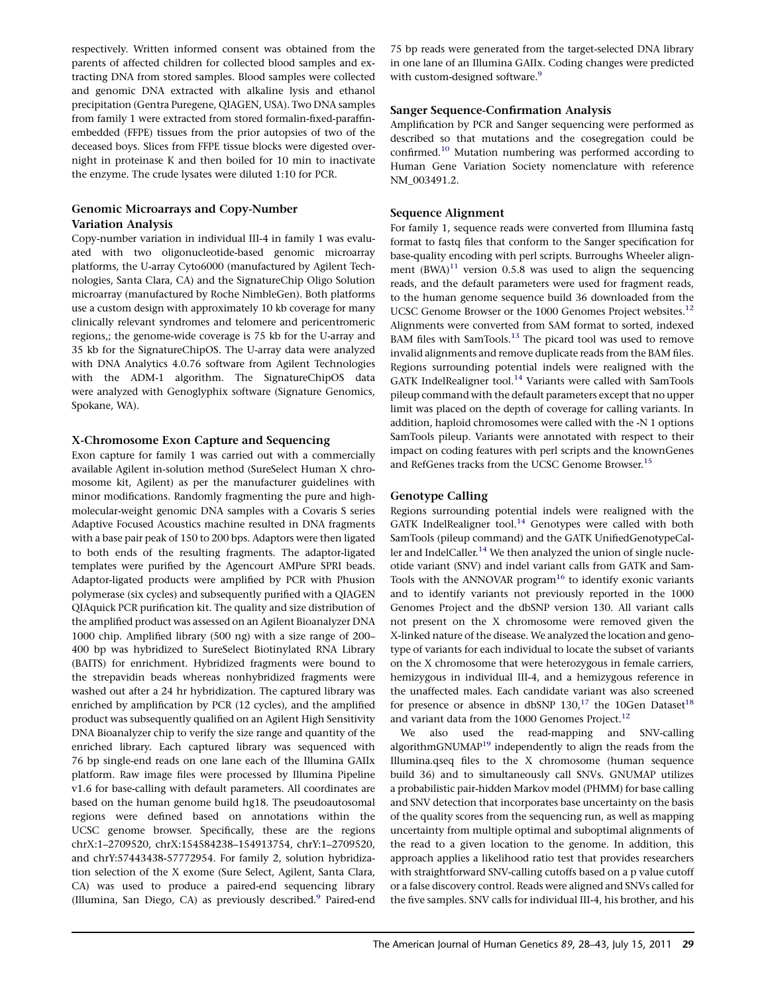respectively. Written informed consent was obtained from the parents of affected children for collected blood samples and extracting DNA from stored samples. Blood samples were collected and genomic DNA extracted with alkaline lysis and ethanol precipitation (Gentra Puregene, QIAGEN, USA). Two DNA samples from family 1 were extracted from stored formalin-fixed-paraffinembedded (FFPE) tissues from the prior autopsies of two of the deceased boys. Slices from FFPE tissue blocks were digested overnight in proteinase K and then boiled for 10 min to inactivate the enzyme. The crude lysates were diluted 1:10 for PCR.

# Genomic Microarrays and Copy-Number Variation Analysis

Copy-number variation in individual III-4 in family 1 was evaluated with two oligonucleotide-based genomic microarray platforms, the U-array Cyto6000 (manufactured by Agilent Technologies, Santa Clara, CA) and the SignatureChip Oligo Solution microarray (manufactured by Roche NimbleGen). Both platforms use a custom design with approximately 10 kb coverage for many clinically relevant syndromes and telomere and pericentromeric regions,; the genome-wide coverage is 75 kb for the U-array and 35 kb for the SignatureChipOS. The U-array data were analyzed with DNA Analytics 4.0.76 software from Agilent Technologies with the ADM-1 algorithm. The SignatureChipOS data were analyzed with Genoglyphix software (Signature Genomics, Spokane, WA).

# X-Chromosome Exon Capture and Sequencing

Exon capture for family 1 was carried out with a commercially available Agilent in-solution method (SureSelect Human X chromosome kit, Agilent) as per the manufacturer guidelines with minor modifications. Randomly fragmenting the pure and highmolecular-weight genomic DNA samples with a Covaris S series Adaptive Focused Acoustics machine resulted in DNA fragments with a base pair peak of 150 to 200 bps. Adaptors were then ligated to both ends of the resulting fragments. The adaptor-ligated templates were purified by the Agencourt AMPure SPRI beads. Adaptor-ligated products were amplified by PCR with Phusion polymerase (six cycles) and subsequently purified with a QIAGEN QIAquick PCR purification kit. The quality and size distribution of the amplified product was assessed on an Agilent Bioanalyzer DNA 1000 chip. Amplified library (500 ng) with a size range of 200– 400 bp was hybridized to SureSelect Biotinylated RNA Library (BAITS) for enrichment. Hybridized fragments were bound to the strepavidin beads whereas nonhybridized fragments were washed out after a 24 hr hybridization. The captured library was enriched by amplification by PCR (12 cycles), and the amplified product was subsequently qualified on an Agilent High Sensitivity DNA Bioanalyzer chip to verify the size range and quantity of the enriched library. Each captured library was sequenced with 76 bp single-end reads on one lane each of the Illumina GAIIx platform. Raw image files were processed by Illumina Pipeline v1.6 for base-calling with default parameters. All coordinates are based on the human genome build hg18. The pseudoautosomal regions were defined based on annotations within the UCSC genome browser. Specifically, these are the regions chrX:1–2709520, chrX:154584238–154913754, chrY:1–2709520, and chrY:57443438-57772954. For family 2, solution hybridization selection of the X exome (Sure Select, Agilent, Santa Clara, CA) was used to produce a paired-end sequencing library (Illumina, San Diego, CA) as previously described.<sup>9</sup> Paired-end

75 bp reads were generated from the target-selected DNA library in one lane of an Illumina GAIIx. Coding changes were predicted with custom-designed software.<sup>[9](#page-14-0)</sup>

# Sanger Sequence-Confirmation Analysis

Amplification by PCR and Sanger sequencing were performed as described so that mutations and the cosegregation could be confirmed.[10](#page-14-0) Mutation numbering was performed according to Human Gene Variation Society nomenclature with reference NM\_003491.2.

# Sequence Alignment

For family 1, sequence reads were converted from Illumina fastq format to fastq files that conform to the Sanger specification for base-quality encoding with perl scripts. Burroughs Wheeler alignment  $(BWA)^{11}$  $(BWA)^{11}$  $(BWA)^{11}$  version 0.5.8 was used to align the sequencing reads, and the default parameters were used for fragment reads, to the human genome sequence build 36 downloaded from the UCSC Genome Browser or the 1000 Genomes Project websites.<sup>[12](#page-14-0)</sup> Alignments were converted from SAM format to sorted, indexed BAM files with SamTools.<sup>13</sup> The picard tool was used to remove invalid alignments and remove duplicate reads from the BAM files. Regions surrounding potential indels were realigned with the GATK IndelRealigner tool.<sup>[14](#page-14-0)</sup> Variants were called with SamTools pileup command with the default parameters except that no upper limit was placed on the depth of coverage for calling variants. In addition, haploid chromosomes were called with the -N 1 options SamTools pileup. Variants were annotated with respect to their impact on coding features with perl scripts and the knownGenes and RefGenes tracks from the UCSC Genome Browser.<sup>15</sup>

# Genotype Calling

Regions surrounding potential indels were realigned with the GATK IndelRealigner tool. $^{14}$  Genotypes were called with both SamTools (pileup command) and the GATK UnifiedGenotypeCal-ler and IndelCaller.<sup>[14](#page-14-0)</sup> We then analyzed the union of single nucleotide variant (SNV) and indel variant calls from GATK and Sam-Tools with the ANNOVAR program<sup>16</sup> to identify exonic variants and to identify variants not previously reported in the 1000 Genomes Project and the dbSNP version 130. All variant calls not present on the X chromosome were removed given the X-linked nature of the disease. We analyzed the location and genotype of variants for each individual to locate the subset of variants on the X chromosome that were heterozygous in female carriers, hemizygous in individual III-4, and a hemizygous reference in the unaffected males. Each candidate variant was also screened for presence or absence in dbSNP  $130$ ,<sup>17</sup> the 10Gen Dataset<sup>[18](#page-14-0)</sup> and variant data from the 1000 Genomes Project.<sup>[12](#page-14-0)</sup>

We also used the read-mapping and SNV-calling algorithmGNUMAP[19](#page-14-0) independently to align the reads from the Illumina.qseq files to the X chromosome (human sequence build 36) and to simultaneously call SNVs. GNUMAP utilizes a probabilistic pair-hidden Markov model (PHMM) for base calling and SNV detection that incorporates base uncertainty on the basis of the quality scores from the sequencing run, as well as mapping uncertainty from multiple optimal and suboptimal alignments of the read to a given location to the genome. In addition, this approach applies a likelihood ratio test that provides researchers with straightforward SNV-calling cutoffs based on a p value cutoff or a false discovery control. Reads were aligned and SNVs called for the five samples. SNV calls for individual III-4, his brother, and his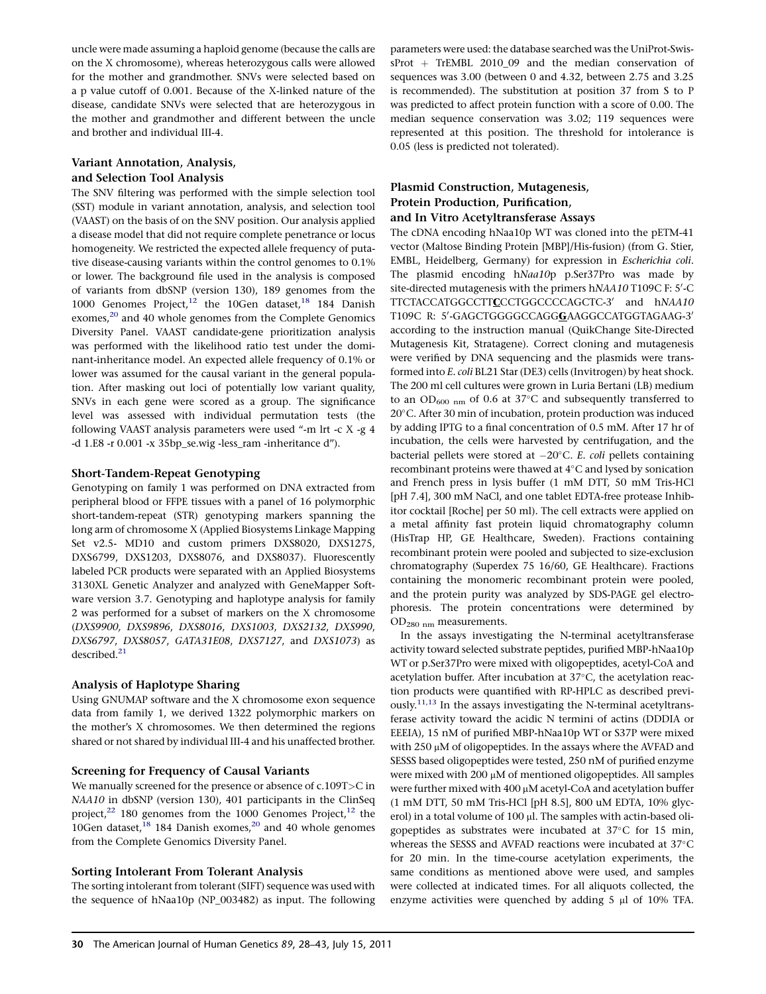uncle were made assuming a haploid genome (because the calls are on the X chromosome), whereas heterozygous calls were allowed for the mother and grandmother. SNVs were selected based on a p value cutoff of 0.001. Because of the X-linked nature of the disease, candidate SNVs were selected that are heterozygous in the mother and grandmother and different between the uncle and brother and individual III-4.

# Variant Annotation, Analysis, and Selection Tool Analysis

The SNV filtering was performed with the simple selection tool (SST) module in variant annotation, analysis, and selection tool (VAAST) on the basis of on the SNV position. Our analysis applied a disease model that did not require complete penetrance or locus homogeneity. We restricted the expected allele frequency of putative disease-causing variants within the control genomes to 0.1% or lower. The background file used in the analysis is composed of variants from dbSNP (version 130), 189 genomes from the 1000 Genomes Project, $12$  the 10Gen dataset, $18$  184 Danish exomes,<sup>20</sup> and 40 whole genomes from the Complete Genomics Diversity Panel. VAAST candidate-gene prioritization analysis was performed with the likelihood ratio test under the dominant-inheritance model. An expected allele frequency of 0.1% or lower was assumed for the causal variant in the general population. After masking out loci of potentially low variant quality, SNVs in each gene were scored as a group. The significance level was assessed with individual permutation tests (the following VAAST analysis parameters were used ''-m lrt -c X -g 4 -d 1.E8 -r 0.001 -x 35bp\_se.wig -less\_ram -inheritance d'').

# Short-Tandem-Repeat Genotyping

Genotyping on family 1 was performed on DNA extracted from peripheral blood or FFPE tissues with a panel of 16 polymorphic short-tandem-repeat (STR) genotyping markers spanning the long arm of chromosome X (Applied Biosystems Linkage Mapping Set v2.5- MD10 and custom primers DXS8020, DXS1275, DXS6799, DXS1203, DXS8076, and DXS8037). Fluorescently labeled PCR products were separated with an Applied Biosystems 3130XL Genetic Analyzer and analyzed with GeneMapper Software version 3.7. Genotyping and haplotype analysis for family 2 was performed for a subset of markers on the X chromosome (DXS9900, DXS9896, DXS8016, DXS1003, DXS2132, DXS990, DXS6797, DXS8057, GATA31E08, DXS7127, and DXS1073) as described.<sup>21</sup>

# Analysis of Haplotype Sharing

Using GNUMAP software and the X chromosome exon sequence data from family 1, we derived 1322 polymorphic markers on the mother's X chromosomes. We then determined the regions shared or not shared by individual III-4 and his unaffected brother.

# Screening for Frequency of Causal Variants

We manually screened for the presence or absence of c.109T>C in NAA10 in dbSNP (version 130), 401 participants in the ClinSeq project, $^{22}$  180 genomes from the 1000 Genomes Project, $^{12}$  the 10Gen dataset, $^{18}$  $^{18}$  $^{18}$  184 Danish exomes, $^{20}$  and 40 whole genomes from the Complete Genomics Diversity Panel.

# Sorting Intolerant From Tolerant Analysis

The sorting intolerant from tolerant (SIFT) sequence was used with the sequence of hNaa10p (NP\_003482) as input. The following parameters were used: the database searched was the UniProt-SwissProt + TrEMBL 2010\_09 and the median conservation of sequences was 3.00 (between 0 and 4.32, between 2.75 and 3.25 is recommended). The substitution at position 37 from S to P was predicted to affect protein function with a score of 0.00. The median sequence conservation was 3.02; 119 sequences were represented at this position. The threshold for intolerance is 0.05 (less is predicted not tolerated).

# Plasmid Construction, Mutagenesis, Protein Production, Purification, and In Vitro Acetyltransferase Assays

The cDNA encoding hNaa10p WT was cloned into the pETM-41 vector (Maltose Binding Protein [MBP]/His-fusion) (from G. Stier, EMBL, Heidelberg, Germany) for expression in Escherichia coli. The plasmid encoding hNaa10p p.Ser37Pro was made by site-directed mutagenesis with the primers  $\mathrm{h}NAA10\,\mathrm{T}109\mathrm{C}$  F: 5'-C TTCTACCATGGCCTTCCCTGGCCCCAGCTC-3' and hNAA10 T109C R: 5' GAGCTGGGGCCAGG<u>G</u>AAGGCCATGGTAGAAG-3' according to the instruction manual (QuikChange Site-Directed Mutagenesis Kit, Stratagene). Correct cloning and mutagenesis were verified by DNA sequencing and the plasmids were transformed into E. coli BL21 Star (DE3) cells (Invitrogen) by heat shock. The 200 ml cell cultures were grown in Luria Bertani (LB) medium to an  $OD_{600\;{\rm nm}}$  of 0.6 at 37°C and subsequently transferred to 20°C. After 30 min of incubation, protein production was induced by adding IPTG to a final concentration of 0.5 mM. After 17 hr of incubation, the cells were harvested by centrifugation, and the bacterial pellets were stored at  $-20^{\circ}$ C. *E. coli* pellets containing recombinant proteins were thawed at  $4^{\circ}$ C and lysed by sonication and French press in lysis buffer (1 mM DTT, 50 mM Tris-HCl [pH 7.4], 300 mM NaCl, and one tablet EDTA-free protease Inhibitor cocktail [Roche] per 50 ml). The cell extracts were applied on a metal affinity fast protein liquid chromatography column (HisTrap HP, GE Healthcare, Sweden). Fractions containing recombinant protein were pooled and subjected to size-exclusion chromatography (Superdex 75 16/60, GE Healthcare). Fractions containing the monomeric recombinant protein were pooled, and the protein purity was analyzed by SDS-PAGE gel electrophoresis. The protein concentrations were determined by OD280 nm measurements.

In the assays investigating the N-terminal acetyltransferase activity toward selected substrate peptides, purified MBP-hNaa10p WT or p.Ser37Pro were mixed with oligopeptides, acetyl-CoA and acetylation buffer. After incubation at 37-C, the acetylation reaction products were quantified with RP-HPLC as described previ-ously.<sup>[11,13](#page-14-0)</sup> In the assays investigating the N-terminal acetyltransferase activity toward the acidic N termini of actins (DDDIA or EEEIA), 15 nM of purified MBP-hNaa10p WT or S37P were mixed with  $250 \mu$ M of oligopeptides. In the assays where the AVFAD and SESSS based oligopeptides were tested, 250 nM of purified enzyme were mixed with  $200 \mu M$  of mentioned oligopeptides. All samples were further mixed with 400 µM acetyl-CoA and acetylation buffer (1 mM DTT, 50 mM Tris-HCl [pH 8.5], 800 uM EDTA, 10% glycerol) in a total volume of 100 µl. The samples with actin-based oligopeptides as substrates were incubated at 37-C for 15 min, whereas the SESSS and AVFAD reactions were incubated at 37°C for 20 min. In the time-course acetylation experiments, the same conditions as mentioned above were used, and samples were collected at indicated times. For all aliquots collected, the enzyme activities were quenched by adding  $5 \mu l$  of  $10\%$  TFA.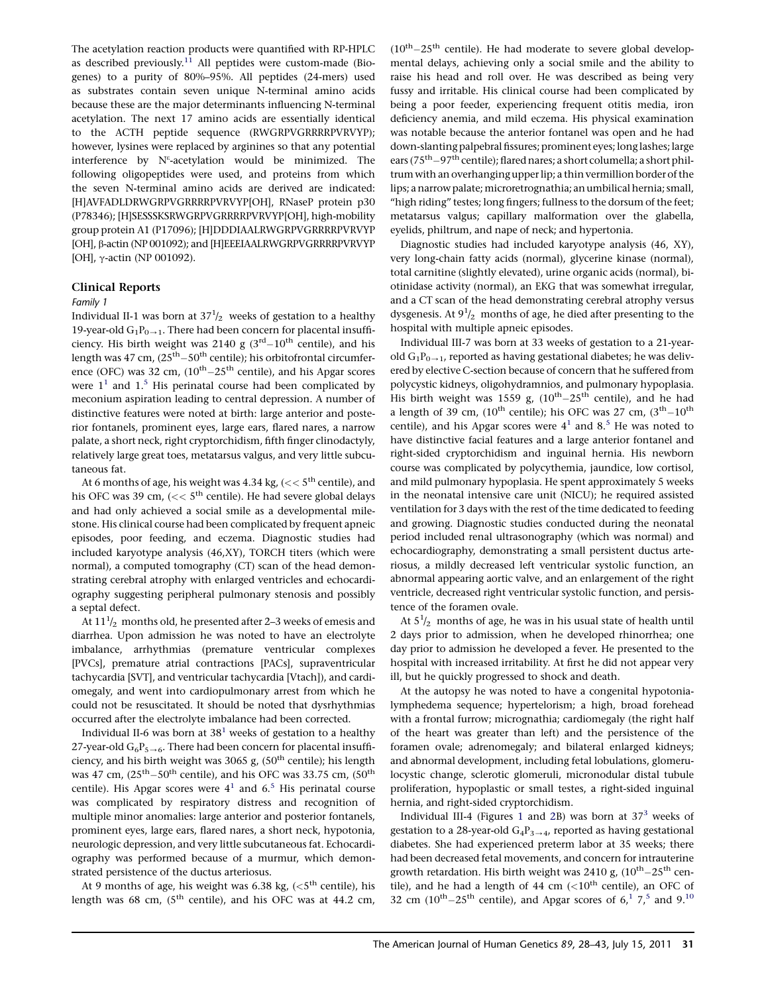The acetylation reaction products were quantified with RP-HPLC as described previously.<sup>11</sup> All peptides were custom-made (Biogenes) to a purity of 80%–95%. All peptides (24-mers) used as substrates contain seven unique N-terminal amino acids because these are the major determinants influencing N-terminal acetylation. The next 17 amino acids are essentially identical to the ACTH peptide sequence (RWGRPVGRRRRPVRVYP); however, lysines were replaced by arginines so that any potential interference by  $\mathrm{N}^\varepsilon$ -acetylation would be minimized. The following oligopeptides were used, and proteins from which the seven N-terminal amino acids are derived are indicated: [H]AVFADLDRWGRPVGRRRRPVRVYP[OH], RNaseP protein p30 (P78346); [H]SESSSKSRWGRPVGRRRRPVRVYP[OH], high-mobility group protein A1 (P17096); [H]DDDIAALRWGRPVGRRRRPVRVYP [OH], β-actin (NP 001092); and [H]EEEIAALRWGRPVGRRRRPVRVYP [OH], γ-actin (NP 001092).

#### Clinical Reports

#### Family 1

Individual II-1 was born at  $37^{1}/_{2}$  weeks of gestation to a healthy 19-year-old  $G_1P_{0\rightarrow 1}$ . There had been concern for placental insufficiency. His birth weight was 2140 g  $(3<sup>rd</sup>-10<sup>th</sup>$  centile), and his length was 47 cm,  $(25<sup>th</sup>-50<sup>th</sup>$  centile); his orbitofrontal circumference (OFC) was 32 cm,  $(10^{th}-25^{th}$  centile), and his Apgar scores were  $1<sup>1</sup>$  $1<sup>1</sup>$  and  $1<sup>5</sup>$  His perinatal course had been complicated by meconium aspiration leading to central depression. A number of distinctive features were noted at birth: large anterior and posterior fontanels, prominent eyes, large ears, flared nares, a narrow palate, a short neck, right cryptorchidism, fifth finger clinodactyly, relatively large great toes, metatarsus valgus, and very little subcutaneous fat.

At 6 months of age, his weight was 4.34 kg, ( $<< 5^{\text{th}}$  centile), and his OFC was 39 cm,  $\left(<\right>< 5^{th}$  centile). He had severe global delays and had only achieved a social smile as a developmental milestone. His clinical course had been complicated by frequent apneic episodes, poor feeding, and eczema. Diagnostic studies had included karyotype analysis (46,XY), TORCH titers (which were normal), a computed tomography (CT) scan of the head demonstrating cerebral atrophy with enlarged ventricles and echocardiography suggesting peripheral pulmonary stenosis and possibly a septal defect.

At  $11\frac{1}{2}$  months old, he presented after 2–3 weeks of emesis and diarrhea. Upon admission he was noted to have an electrolyte imbalance, arrhythmias (premature ventricular complexes [PVCs], premature atrial contractions [PACs], supraventricular tachycardia [SVT], and ventricular tachycardia [Vtach]), and cardiomegaly, and went into cardiopulmonary arrest from which he could not be resuscitated. It should be noted that dysrhythmias occurred after the electrolyte imbalance had been corrected.

Individual II-6 was born at  $38<sup>1</sup>$  $38<sup>1</sup>$  $38<sup>1</sup>$  weeks of gestation to a healthy 27-year-old  $G_6P_{5\rightarrow 6}$ . There had been concern for placental insufficiency, and his birth weight was 3065 g,  $(50<sup>th</sup>$  centile); his length was 47 cm,  $(25<sup>th</sup>-50<sup>th</sup>$  centile), and his OFC was 33.75 cm,  $(50<sup>th</sup>$ centile). His Apgar scores were  $4<sup>1</sup>$  and  $6<sup>5</sup>$  $6<sup>5</sup>$  $6<sup>5</sup>$  His perinatal course was complicated by respiratory distress and recognition of multiple minor anomalies: large anterior and posterior fontanels, prominent eyes, large ears, flared nares, a short neck, hypotonia, neurologic depression, and very little subcutaneous fat. Echocardiography was performed because of a murmur, which demonstrated persistence of the ductus arteriosus.

At 9 months of age, his weight was 6.38 kg,  $(<5<sup>th</sup>$  centile), his length was 68 cm,  $(5<sup>th</sup> centile)$ , and his OFC was at 44.2 cm,  $(10<sup>th</sup>-25<sup>th</sup>$  centile). He had moderate to severe global developmental delays, achieving only a social smile and the ability to raise his head and roll over. He was described as being very fussy and irritable. His clinical course had been complicated by being a poor feeder, experiencing frequent otitis media, iron deficiency anemia, and mild eczema. His physical examination was notable because the anterior fontanel was open and he had down-slanting palpebral fissures; prominent eyes; long lashes; large ears ( $75<sup>th</sup>-97<sup>th</sup>$  centile); flared nares; a short columella; a short philtrum with an overhanging upper lip; a thin vermillion border of the lips; a narrow palate; microretrognathia; an umbilical hernia; small, ''high riding'' testes; long fingers; fullness to the dorsum of the feet; metatarsus valgus; capillary malformation over the glabella, eyelids, philtrum, and nape of neck; and hypertonia.

Diagnostic studies had included karyotype analysis (46, XY), very long-chain fatty acids (normal), glycerine kinase (normal), total carnitine (slightly elevated), urine organic acids (normal), biotinidase activity (normal), an EKG that was somewhat irregular, and a CT scan of the head demonstrating cerebral atrophy versus dysgenesis. At  $9^{1}/_{2}$  months of age, he died after presenting to the hospital with multiple apneic episodes.

Individual III-7 was born at 33 weeks of gestation to a 21-yearold  $G_1P_{0\rightarrow 1}$ , reported as having gestational diabetes; he was delivered by elective C-section because of concern that he suffered from polycystic kidneys, oligohydramnios, and pulmonary hypoplasia. His birth weight was 1559 g,  $(10^{th}-25^{th}$  centile), and he had a length of 39 cm,  $(10^{th}$  centile); his OFC was 27 cm,  $(3^{th}-10^{th}$ centile), and his Apgar scores were  $4<sup>1</sup>$  and  $8<sup>5</sup>$  $8<sup>5</sup>$  $8<sup>5</sup>$  He was noted to have distinctive facial features and a large anterior fontanel and right-sided cryptorchidism and inguinal hernia. His newborn course was complicated by polycythemia, jaundice, low cortisol, and mild pulmonary hypoplasia. He spent approximately 5 weeks in the neonatal intensive care unit (NICU); he required assisted ventilation for 3 days with the rest of the time dedicated to feeding and growing. Diagnostic studies conducted during the neonatal period included renal ultrasonography (which was normal) and echocardiography, demonstrating a small persistent ductus arteriosus, a mildly decreased left ventricular systolic function, an abnormal appearing aortic valve, and an enlargement of the right ventricle, decreased right ventricular systolic function, and persistence of the foramen ovale.

At  $5^{1}/_{2}$  months of age, he was in his usual state of health until 2 days prior to admission, when he developed rhinorrhea; one day prior to admission he developed a fever. He presented to the hospital with increased irritability. At first he did not appear very ill, but he quickly progressed to shock and death.

At the autopsy he was noted to have a congenital hypotonialymphedema sequence; hypertelorism; a high, broad forehead with a frontal furrow; micrognathia; cardiomegaly (the right half of the heart was greater than left) and the persistence of the foramen ovale; adrenomegaly; and bilateral enlarged kidneys; and abnormal development, including fetal lobulations, glomerulocystic change, sclerotic glomeruli, micronodular distal tubule proliferation, hypoplastic or small testes, a right-sided inguinal hernia, and right-sided cryptorchidism.

Individual III-4 (Figures [1](#page-4-0) and [2B](#page-5-0)) was born at  $37<sup>3</sup>$  $37<sup>3</sup>$  weeks of gestation to a 28-year-old  $G_4P_3 \rightarrow 4$ , reported as having gestational diabetes. She had experienced preterm labor at 35 weeks; there had been decreased fetal movements, and concern for intrauterine growth retardation. His birth weight was 2410 g,  $(10^{th}-25^{th}$  centile), and he had a length of 44 cm  $(<10<sup>th</sup>$  centile), an OFC of 32 cm  $(10^{th}-25^{th}$  $(10^{th}-25^{th}$  $(10^{th}-25^{th}$  $(10^{th}-25^{th}$  $(10^{th}-25^{th}$  centile), and Apgar scores of  $6<sup>1</sup>$ ,  $7<sup>5</sup>$  and  $9<sup>10</sup>$  $9<sup>10</sup>$  $9<sup>10</sup>$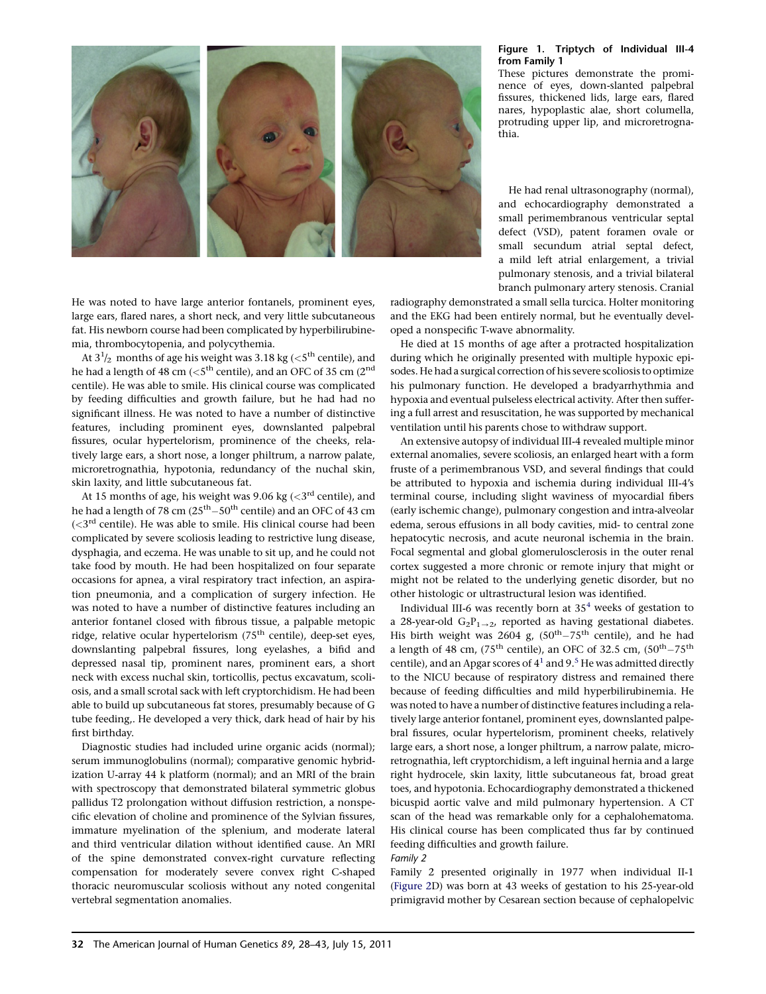<span id="page-4-0"></span>

He was noted to have large anterior fontanels, prominent eyes, large ears, flared nares, a short neck, and very little subcutaneous fat. His newborn course had been complicated by hyperbilirubinemia, thrombocytopenia, and polycythemia.

At  $3^{\text{-}1\!}/_2$  months of age his weight was 3.18 kg ( $<$ 5<sup>th</sup> centile), and he had a length of 48 cm ( $<$ 5<sup>th</sup> centile), and an OFC of 35 cm (2<sup>nd</sup> centile). He was able to smile. His clinical course was complicated by feeding difficulties and growth failure, but he had had no significant illness. He was noted to have a number of distinctive features, including prominent eyes, downslanted palpebral fissures, ocular hypertelorism, prominence of the cheeks, relatively large ears, a short nose, a longer philtrum, a narrow palate, microretrognathia, hypotonia, redundancy of the nuchal skin, skin laxity, and little subcutaneous fat.

At 15 months of age, his weight was 9.06 kg ( $\langle 3^{rd}$  centile), and he had a length of 78 cm  $(25<sup>th</sup> - 50<sup>th</sup>$  centile) and an OFC of 43 cm  $(*3*<sup>rd</sup> centile).$  He was able to smile. His clinical course had been complicated by severe scoliosis leading to restrictive lung disease, dysphagia, and eczema. He was unable to sit up, and he could not take food by mouth. He had been hospitalized on four separate occasions for apnea, a viral respiratory tract infection, an aspiration pneumonia, and a complication of surgery infection. He was noted to have a number of distinctive features including an anterior fontanel closed with fibrous tissue, a palpable metopic ridge, relative ocular hypertelorism (75<sup>th</sup> centile), deep-set eyes, downslanting palpebral fissures, long eyelashes, a bifid and depressed nasal tip, prominent nares, prominent ears, a short neck with excess nuchal skin, torticollis, pectus excavatum, scoliosis, and a small scrotal sack with left cryptorchidism. He had been able to build up subcutaneous fat stores, presumably because of G tube feeding,. He developed a very thick, dark head of hair by his first birthday.

Diagnostic studies had included urine organic acids (normal); serum immunoglobulins (normal); comparative genomic hybridization U-array 44 k platform (normal); and an MRI of the brain with spectroscopy that demonstrated bilateral symmetric globus pallidus T2 prolongation without diffusion restriction, a nonspecific elevation of choline and prominence of the Sylvian fissures, immature myelination of the splenium, and moderate lateral and third ventricular dilation without identified cause. An MRI of the spine demonstrated convex-right curvature reflecting compensation for moderately severe convex right C-shaped thoracic neuromuscular scoliosis without any noted congenital vertebral segmentation anomalies.

#### Figure 1. Triptych of Individual III-4 from Family 1

These pictures demonstrate the prominence of eyes, down-slanted palpebral fissures, thickened lids, large ears, flared nares, hypoplastic alae, short columella, protruding upper lip, and microretrognathia.

He had renal ultrasonography (normal), and echocardiography demonstrated a small perimembranous ventricular septal defect (VSD), patent foramen ovale or small secundum atrial septal defect, a mild left atrial enlargement, a trivial pulmonary stenosis, and a trivial bilateral branch pulmonary artery stenosis. Cranial

radiography demonstrated a small sella turcica. Holter monitoring and the EKG had been entirely normal, but he eventually developed a nonspecific T-wave abnormality.

He died at 15 months of age after a protracted hospitalization during which he originally presented with multiple hypoxic episodes. He had a surgical correction of his severe scoliosis to optimize his pulmonary function. He developed a bradyarrhythmia and hypoxia and eventual pulseless electrical activity. After then suffering a full arrest and resuscitation, he was supported by mechanical ventilation until his parents chose to withdraw support.

An extensive autopsy of individual III-4 revealed multiple minor external anomalies, severe scoliosis, an enlarged heart with a form fruste of a perimembranous VSD, and several findings that could be attributed to hypoxia and ischemia during individual III-4's terminal course, including slight waviness of myocardial fibers (early ischemic change), pulmonary congestion and intra-alveolar edema, serous effusions in all body cavities, mid- to central zone hepatocytic necrosis, and acute neuronal ischemia in the brain. Focal segmental and global glomerulosclerosis in the outer renal cortex suggested a more chronic or remote injury that might or might not be related to the underlying genetic disorder, but no other histologic or ultrastructural lesion was identified.

Individual III-6 was recently born at  $35<sup>4</sup>$  $35<sup>4</sup>$  $35<sup>4</sup>$  weeks of gestation to a 28-year-old  $G_2P_{1\rightarrow 2}$ , reported as having gestational diabetes. His birth weight was 2604 g,  $(50<sup>th</sup> - 75<sup>th</sup>$  centile), and he had a length of 48 cm, (75<sup>th</sup> centile), an OFC of 32.5 cm, (50<sup>th</sup> - 75<sup>th</sup> centile), and an Apgar scores of  $4<sup>1</sup>$  and 9.<sup>[5](#page-14-0)</sup> He was admitted directly to the NICU because of respiratory distress and remained there because of feeding difficulties and mild hyperbilirubinemia. He was noted to have a number of distinctive features including a relatively large anterior fontanel, prominent eyes, downslanted palpebral fissures, ocular hypertelorism, prominent cheeks, relatively large ears, a short nose, a longer philtrum, a narrow palate, microretrognathia, left cryptorchidism, a left inguinal hernia and a large right hydrocele, skin laxity, little subcutaneous fat, broad great toes, and hypotonia. Echocardiography demonstrated a thickened bicuspid aortic valve and mild pulmonary hypertension. A CT scan of the head was remarkable only for a cephalohematoma. His clinical course has been complicated thus far by continued feeding difficulties and growth failure.

# Family 2

Family 2 presented originally in 1977 when individual II-1 [\(Figure 2D](#page-5-0)) was born at 43 weeks of gestation to his 25-year-old primigravid mother by Cesarean section because of cephalopelvic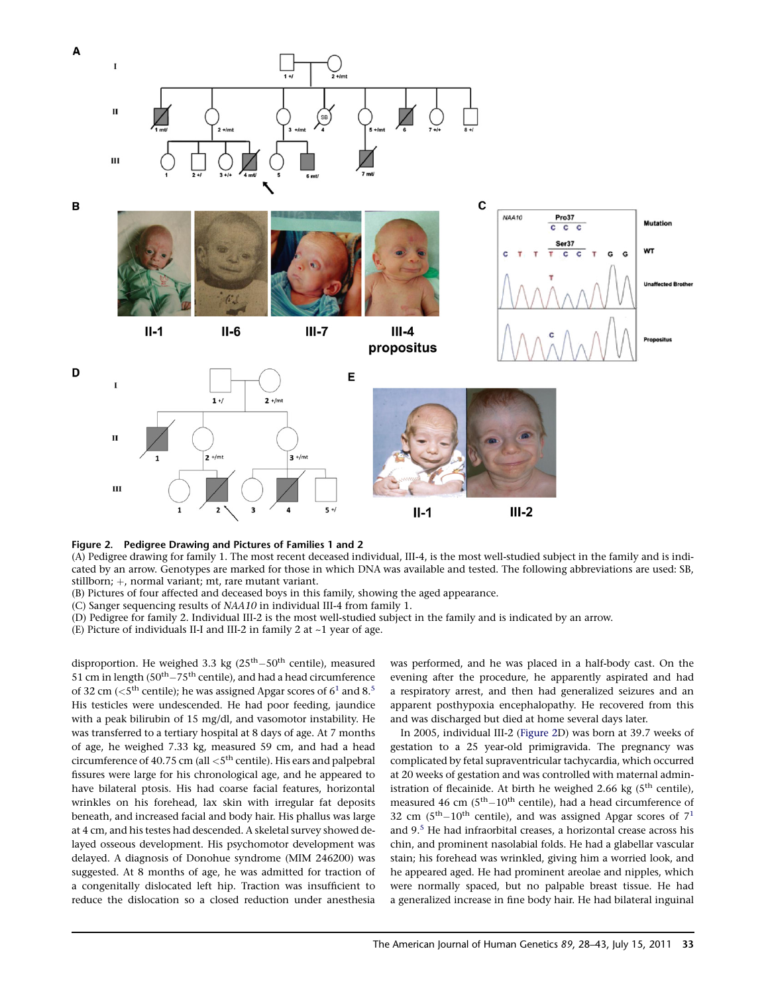<span id="page-5-0"></span>

#### Figure 2. Pedigree Drawing and Pictures of Families 1 and 2

(A) Pedigree drawing for family 1. The most recent deceased individual, III-4, is the most well-studied subject in the family and is indicated by an arrow. Genotypes are marked for those in which DNA was available and tested. The following abbreviations are used: SB, stillborn; +, normal variant; mt, rare mutant variant.

(B) Pictures of four affected and deceased boys in this family, showing the aged appearance.

(C) Sanger sequencing results of NAA10 in individual III-4 from family 1.

(D) Pedigree for family 2. Individual III-2 is the most well-studied subject in the family and is indicated by an arrow.

(E) Picture of individuals II-I and III-2 in family 2 at ~1 year of age.

disproportion. He weighed 3.3 kg  $(25<sup>th</sup>-50<sup>th</sup>$  centile), measured 51 cm in length ( $50<sup>th</sup> - 75<sup>th</sup>$  centile), and had a head circumference of 32 cm ( $\lt 5^{\text{th}}$  centile); he was assigned Apgar scores of  $6^1$  $6^1$  and  $8^5$ His testicles were undescended. He had poor feeding, jaundice with a peak bilirubin of 15 mg/dl, and vasomotor instability. He was transferred to a tertiary hospital at 8 days of age. At 7 months of age, he weighed 7.33 kg, measured 59 cm, and had a head circumference of 40.75 cm (all  $<$ 5<sup>th</sup> centile). His ears and palpebral fissures were large for his chronological age, and he appeared to have bilateral ptosis. His had coarse facial features, horizontal wrinkles on his forehead, lax skin with irregular fat deposits beneath, and increased facial and body hair. His phallus was large at 4 cm, and his testes had descended. A skeletal survey showed delayed osseous development. His psychomotor development was delayed. A diagnosis of Donohue syndrome (MIM 246200) was suggested. At 8 months of age, he was admitted for traction of a congenitally dislocated left hip. Traction was insufficient to reduce the dislocation so a closed reduction under anesthesia

was performed, and he was placed in a half-body cast. On the evening after the procedure, he apparently aspirated and had a respiratory arrest, and then had generalized seizures and an apparent posthypoxia encephalopathy. He recovered from this and was discharged but died at home several days later.

In 2005, individual III-2 (Figure 2D) was born at 39.7 weeks of gestation to a 25 year-old primigravida. The pregnancy was complicated by fetal supraventricular tachycardia, which occurred at 20 weeks of gestation and was controlled with maternal administration of flecainide. At birth he weighed 2.66 kg  $(5^{th}$  centile), measured 46 cm  $(5<sup>th</sup>-10<sup>th</sup>$  centile), had a head circumference of 32 cm  $(5<sup>th</sup>-10<sup>th</sup>$  $(5<sup>th</sup>-10<sup>th</sup>$  $(5<sup>th</sup>-10<sup>th</sup>$  centile), and was assigned Apgar scores of  $7<sup>1</sup>$ and 9.<sup>[5](#page-14-0)</sup> He had infraorbital creases, a horizontal crease across his chin, and prominent nasolabial folds. He had a glabellar vascular stain; his forehead was wrinkled, giving him a worried look, and he appeared aged. He had prominent areolae and nipples, which were normally spaced, but no palpable breast tissue. He had a generalized increase in fine body hair. He had bilateral inguinal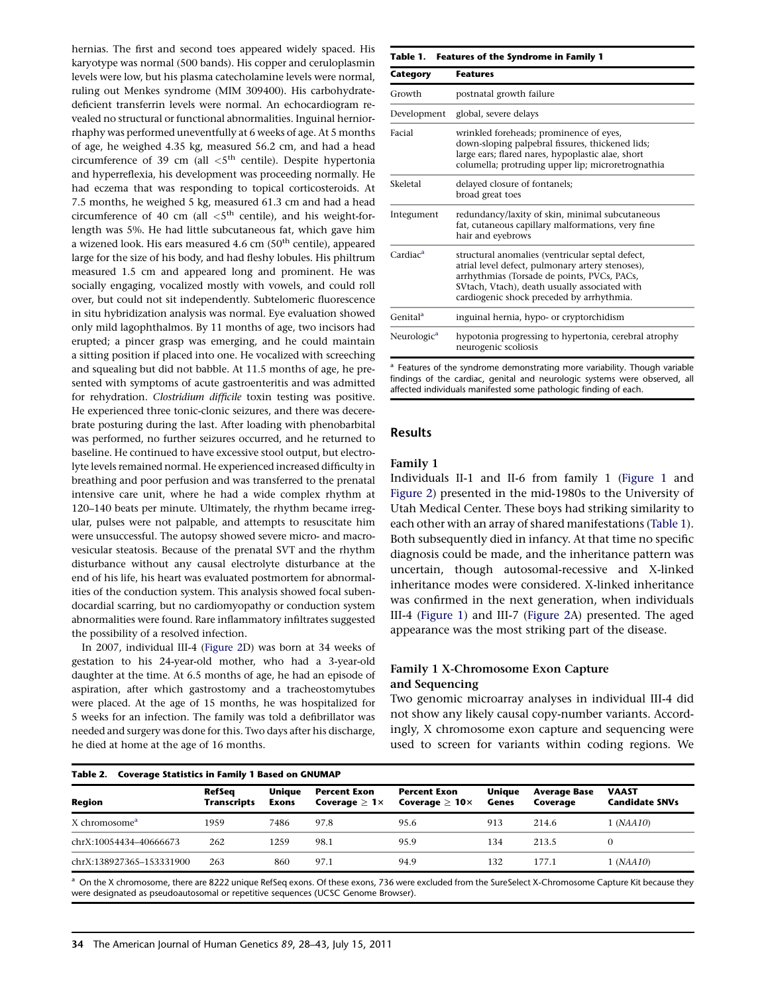<span id="page-6-0"></span>hernias. The first and second toes appeared widely spaced. His karyotype was normal (500 bands). His copper and ceruloplasmin levels were low, but his plasma catecholamine levels were normal, ruling out Menkes syndrome (MIM 309400). His carbohydratedeficient transferrin levels were normal. An echocardiogram revealed no structural or functional abnormalities. Inguinal herniorrhaphy was performed uneventfully at 6 weeks of age. At 5 months of age, he weighed 4.35 kg, measured 56.2 cm, and had a head circumference of 39 cm (all  $\lt 5^{th}$  centile). Despite hypertonia and hyperreflexia, his development was proceeding normally. He had eczema that was responding to topical corticosteroids. At 7.5 months, he weighed 5 kg, measured 61.3 cm and had a head circumference of 40 cm (all  $\lt5^{th}$  centile), and his weight-forlength was 5%. He had little subcutaneous fat, which gave him a wizened look. His ears measured  $4.6$  cm  $(50<sup>th</sup>$  centile), appeared large for the size of his body, and had fleshy lobules. His philtrum measured 1.5 cm and appeared long and prominent. He was socially engaging, vocalized mostly with vowels, and could roll over, but could not sit independently. Subtelomeric fluorescence in situ hybridization analysis was normal. Eye evaluation showed only mild lagophthalmos. By 11 months of age, two incisors had erupted; a pincer grasp was emerging, and he could maintain a sitting position if placed into one. He vocalized with screeching and squealing but did not babble. At 11.5 months of age, he presented with symptoms of acute gastroenteritis and was admitted for rehydration. Clostridium difficile toxin testing was positive. He experienced three tonic-clonic seizures, and there was decerebrate posturing during the last. After loading with phenobarbital was performed, no further seizures occurred, and he returned to baseline. He continued to have excessive stool output, but electrolyte levels remained normal. He experienced increased difficulty in breathing and poor perfusion and was transferred to the prenatal intensive care unit, where he had a wide complex rhythm at 120–140 beats per minute. Ultimately, the rhythm became irregular, pulses were not palpable, and attempts to resuscitate him were unsuccessful. The autopsy showed severe micro- and macrovesicular steatosis. Because of the prenatal SVT and the rhythm disturbance without any causal electrolyte disturbance at the end of his life, his heart was evaluated postmortem for abnormalities of the conduction system. This analysis showed focal subendocardial scarring, but no cardiomyopathy or conduction system abnormalities were found. Rare inflammatory infiltrates suggested the possibility of a resolved infection.

In 2007, individual III-4 [\(Figure 2](#page-5-0)D) was born at 34 weeks of gestation to his 24-year-old mother, who had a 3-year-old daughter at the time. At 6.5 months of age, he had an episode of aspiration, after which gastrostomy and a tracheostomytubes were placed. At the age of 15 months, he was hospitalized for 5 weeks for an infection. The family was told a defibrillator was needed and surgery was done for this. Two days after his discharge, he died at home at the age of 16 months.

| <b>Features of the Syndrome in Family 1</b><br>Table 1. |                                                                                                                                                                                                                                                   |  |  |  |  |
|---------------------------------------------------------|---------------------------------------------------------------------------------------------------------------------------------------------------------------------------------------------------------------------------------------------------|--|--|--|--|
| Category                                                | <b>Features</b>                                                                                                                                                                                                                                   |  |  |  |  |
| Growth                                                  | postnatal growth failure                                                                                                                                                                                                                          |  |  |  |  |
| Development                                             | global, severe delays                                                                                                                                                                                                                             |  |  |  |  |
| Facial                                                  | wrinkled foreheads; prominence of eyes,<br>down-sloping palpebral fissures, thickened lids;<br>large ears; flared nares, hypoplastic alae, short<br>columella; protruding upper lip; microretrognathia                                            |  |  |  |  |
| Skeletal                                                | delayed closure of fontanels;<br>broad great toes                                                                                                                                                                                                 |  |  |  |  |
| Integument                                              | redundancy/laxity of skin, minimal subcutaneous<br>fat, cutaneous capillary malformations, very fine<br>hair and eyebrows                                                                                                                         |  |  |  |  |
| Cardiac <sup>a</sup>                                    | structural anomalies (ventricular septal defect,<br>atrial level defect, pulmonary artery stenoses),<br>arrhythmias (Torsade de points, PVCs, PACs,<br>SVtach, Vtach), death usually associated with<br>cardiogenic shock preceded by arrhythmia. |  |  |  |  |
| Genital <sup>a</sup>                                    | inguinal hernia, hypo- or cryptorchidism                                                                                                                                                                                                          |  |  |  |  |
| Neurologic <sup>a</sup>                                 | hypotonia progressing to hypertonia, cerebral atrophy<br>neurogenic scoliosis                                                                                                                                                                     |  |  |  |  |

findings of the cardiac, genital and neurologic systems were observed, all affected individuals manifested some pathologic finding of each.

# Results

# Family 1

Individuals II-1 and II-6 from family 1 ([Figure 1](#page-4-0) and [Figure 2\)](#page-5-0) presented in the mid-1980s to the University of Utah Medical Center. These boys had striking similarity to each other with an array of shared manifestations (Table 1). Both subsequently died in infancy. At that time no specific diagnosis could be made, and the inheritance pattern was uncertain, though autosomal-recessive and X-linked inheritance modes were considered. X-linked inheritance was confirmed in the next generation, when individuals III-4 [\(Figure 1](#page-4-0)) and III-7 [\(Figure 2](#page-5-0)A) presented. The aged appearance was the most striking part of the disease.

### Family 1 X-Chromosome Exon Capture and Sequencing

Two genomic microarray analyses in individual III-4 did not show any likely causal copy-number variants. Accordingly, X chromosome exon capture and sequencing were used to screen for variants within coding regions. We

| Table 2.<br><b>Coverage Statistics in Family 1 Based on GNUMAP</b> |                              |                        |                                                 |                                                  |                 |                                 |                                       |  |
|--------------------------------------------------------------------|------------------------------|------------------------|-------------------------------------------------|--------------------------------------------------|-----------------|---------------------------------|---------------------------------------|--|
| Region                                                             | RefSeq<br><b>Transcripts</b> | <b>Unique</b><br>Exons | <b>Percent Exon</b><br>Coverage $\geq 1 \times$ | <b>Percent Exon</b><br>Coverage $\geq 10 \times$ | Uniaue<br>Genes | <b>Average Base</b><br>Coverage | <b>VAAST</b><br><b>Candidate SNVs</b> |  |
| X chromosome <sup>a</sup>                                          | 1959                         | 7486                   | 97.8                                            | 95.6                                             | 913             | 214.6                           | 1 (NAA10)                             |  |
| chrX:10054434-40666673                                             | 262                          | 1259                   | 98.1                                            | 95.9                                             | 134             | 213.5                           |                                       |  |
| chrX:138927365-153331900                                           | 263                          | 860                    | 97.1                                            | 94.9                                             | 132             | 177.1                           | 1 (NAA10)                             |  |

<sup>a</sup> On the X chromosome, there are 8222 unique RefSeq exons. Of these exons, 736 were excluded from the SureSelect X-Chromosome Capture Kit because they were designated as pseudoautosomal or repetitive sequences (UCSC Genome Browser).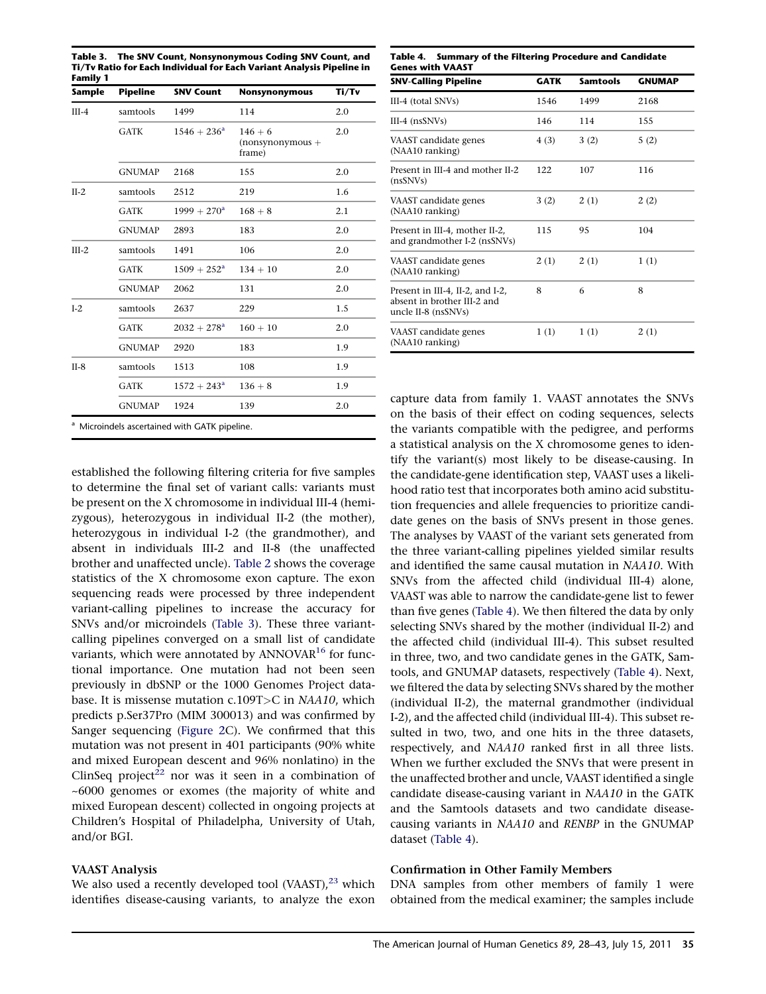<span id="page-7-0"></span>Table 3. The SNV Count, Nonsynonymous Coding SNV Count, and Ti/Tv Ratio for Each Individual for Each Variant Analysis Pipeline in Family 1

| <b>Sample</b> | <b>Pipeline</b> | <b>SNV Count</b>     | <b>Nonsynonymous</b>                      | Ti/Tv |
|---------------|-----------------|----------------------|-------------------------------------------|-------|
| $III-4$       | samtools        | 1499                 | 114                                       | 2.0   |
|               | GATK            | $1546 + 236^a$       | $146 + 6$<br>$(nonsynonymous +$<br>frame) | 2.0   |
|               | <b>GNUMAP</b>   | 2168                 | 155                                       | 2.0   |
| $II-2$        | samtools        | 2512                 | 219                                       | 1.6   |
|               | <b>GATK</b>     | $1999 + 270^{\rm a}$ | $168 + 8$                                 | 2.1   |
|               | <b>GNUMAP</b>   | 2893                 | 183                                       | 2.0   |
| $III-2$       | samtools        | 1491                 | 106                                       | 2.0   |
|               | <b>GATK</b>     | $1509 + 252^a$       | $134 + 10$                                | 2.0   |
|               | <b>GNUMAP</b>   | 2062                 | 131                                       | 2.0   |
| $I-2$         | samtools        | 2637                 | 229                                       | 1.5   |
|               | <b>GATK</b>     | $2032 + 278^a$       | $160 + 10$                                | 2.0   |
|               | <b>GNUMAP</b>   | 2920                 | 183                                       | 1.9   |
| $II-8$        | samtools        | 1513                 | 108                                       | 1.9   |
|               | <b>GATK</b>     | $1572 + 243^a$       | $136 + 8$                                 | 1.9   |
|               | <b>GNUMAP</b>   | 1924                 | 139                                       | 2.0   |

established the following filtering criteria for five samples to determine the final set of variant calls: variants must be present on the X chromosome in individual III-4 (hemizygous), heterozygous in individual II-2 (the mother), heterozygous in individual I-2 (the grandmother), and absent in individuals III-2 and II-8 (the unaffected brother and unaffected uncle). [Table 2](#page-6-0) shows the coverage statistics of the X chromosome exon capture. The exon sequencing reads were processed by three independent variant-calling pipelines to increase the accuracy for SNVs and/or microindels (Table 3). These three variantcalling pipelines converged on a small list of candidate variants, which were annotated by  $ANNOVAR<sup>16</sup>$  $ANNOVAR<sup>16</sup>$  $ANNOVAR<sup>16</sup>$  for functional importance. One mutation had not been seen previously in dbSNP or the 1000 Genomes Project database. It is missense mutation c.109T>C in NAA10, which predicts p.Ser37Pro (MIM 300013) and was confirmed by Sanger sequencing ([Figure 2](#page-5-0)C). We confirmed that this mutation was not present in 401 participants (90% white and mixed European descent and 96% nonlatino) in the ClinSeq project<sup>22</sup> nor was it seen in a combination of ~6000 genomes or exomes (the majority of white and mixed European descent) collected in ongoing projects at Children's Hospital of Philadelpha, University of Utah, and/or BGI.

### VAAST Analysis

We also used a recently developed tool (VAAST), $^{23}$  $^{23}$  $^{23}$  which identifies disease-causing variants, to analyze the exon

Table 4. Summary of the Filtering Procedure and Candidate Genes with VAAST

| <b>SNV-Calling Pipeline</b>                                                            | <b>GATK</b> | <b>Samtools</b> | <b>GNUMAP</b> |
|----------------------------------------------------------------------------------------|-------------|-----------------|---------------|
| III-4 (total SNVs)                                                                     | 1546        | 1499            | 2168          |
| $III-4$ (nsSNVs)                                                                       | 146         | 114             | 155           |
| VAAST candidate genes<br>(NAA10 ranking)                                               | 4(3)        | 3(2)            | 5(2)          |
| Present in III-4 and mother II-2<br>(nsSNVs)                                           | 122         | 107             | 116           |
| VAAST candidate genes<br>(NAA10 ranking)                                               | 3(2)        | 2(1)            | 2(2)          |
| Present in III-4, mother II-2,<br>and grandmother I-2 (nsSNVs)                         | 115         | 95              | 104           |
| VAAST candidate genes<br>(NAA10 ranking)                                               | 2(1)        | 2(1)            | 1(1)          |
| Present in III-4, II-2, and I-2,<br>absent in brother III-2 and<br>uncle II-8 (nsSNVs) | 8           | 6               | 8             |
| VAAST candidate genes<br>(NAA10 ranking)                                               | 1(1)        | 1(1)            | 2(1)          |

capture data from family 1. VAAST annotates the SNVs on the basis of their effect on coding sequences, selects the variants compatible with the pedigree, and performs a statistical analysis on the X chromosome genes to identify the variant(s) most likely to be disease-causing. In the candidate-gene identification step, VAAST uses a likelihood ratio test that incorporates both amino acid substitution frequencies and allele frequencies to prioritize candidate genes on the basis of SNVs present in those genes. The analyses by VAAST of the variant sets generated from the three variant-calling pipelines yielded similar results and identified the same causal mutation in NAA10. With SNVs from the affected child (individual III-4) alone, VAAST was able to narrow the candidate-gene list to fewer than five genes (Table 4). We then filtered the data by only selecting SNVs shared by the mother (individual II-2) and the affected child (individual III-4). This subset resulted in three, two, and two candidate genes in the GATK, Samtools, and GNUMAP datasets, respectively (Table 4). Next, we filtered the data by selecting SNVs shared by the mother (individual II-2), the maternal grandmother (individual I-2), and the affected child (individual III-4). This subset resulted in two, two, and one hits in the three datasets, respectively, and NAA10 ranked first in all three lists. When we further excluded the SNVs that were present in the unaffected brother and uncle, VAAST identified a single candidate disease-causing variant in NAA10 in the GATK and the Samtools datasets and two candidate diseasecausing variants in NAA10 and RENBP in the GNUMAP dataset (Table 4).

### Confirmation in Other Family Members

DNA samples from other members of family 1 were obtained from the medical examiner; the samples include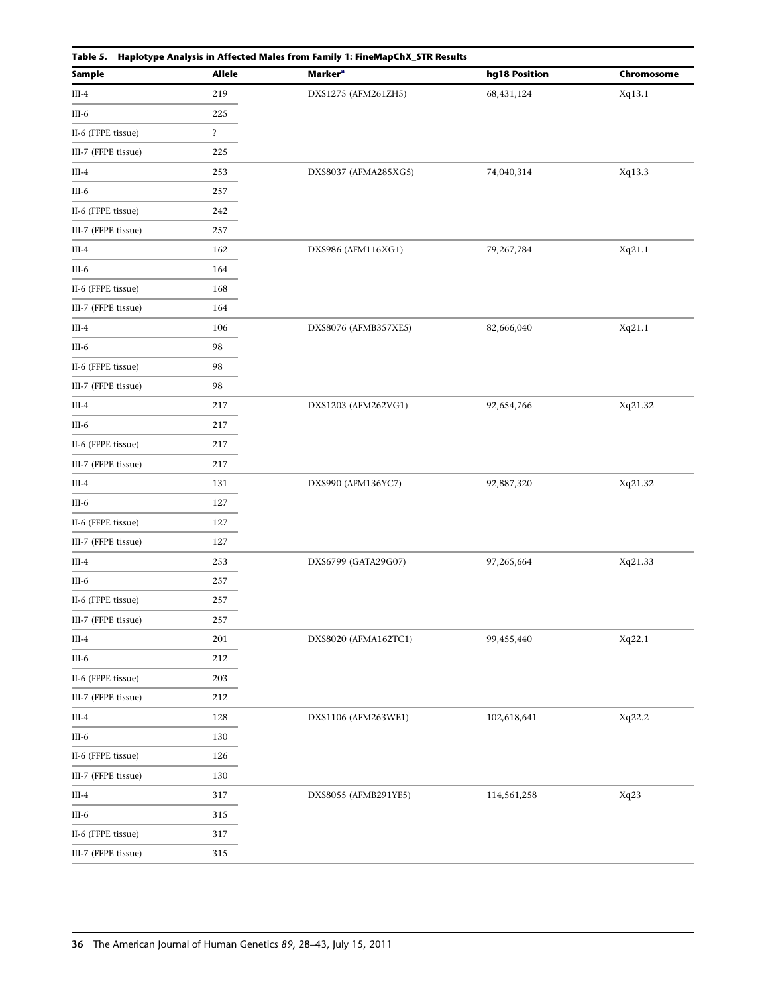<span id="page-8-0"></span>

| Table 5. Haplotype Analysis in Affected Males from Family 1: FineMapChX_STR Results |                         |                            |               |            |  |  |  |
|-------------------------------------------------------------------------------------|-------------------------|----------------------------|---------------|------------|--|--|--|
| <b>Sample</b>                                                                       | <b>Allele</b>           | <b>Marker</b> <sup>a</sup> | hg18 Position | Chromosome |  |  |  |
| $III-4$                                                                             | 219                     | DXS1275 (AFM261ZH5)        | 68,431,124    | Xq13.1     |  |  |  |
| III-6                                                                               | 225                     |                            |               |            |  |  |  |
| II-6 (FFPE tissue)                                                                  | $\overline{\mathbf{?}}$ |                            |               |            |  |  |  |
| III-7 (FFPE tissue)                                                                 | 225                     |                            |               |            |  |  |  |
| $III-4$                                                                             | 253                     | DXS8037 (AFMA285XG5)       | 74,040,314    | Xq13.3     |  |  |  |
| $III-6$                                                                             | 257                     |                            |               |            |  |  |  |
| II-6 (FFPE tissue)                                                                  | 242                     |                            |               |            |  |  |  |
| III-7 (FFPE tissue)                                                                 | 257                     |                            |               |            |  |  |  |
| $III-4$                                                                             | 162                     | DXS986 (AFM116XG1)         | 79,267,784    | Xq21.1     |  |  |  |
| $III-6$                                                                             | 164                     |                            |               |            |  |  |  |
| II-6 (FFPE tissue)                                                                  | 168                     |                            |               |            |  |  |  |
| III-7 (FFPE tissue)                                                                 | 164                     |                            |               |            |  |  |  |
| $III-4$                                                                             | 106                     | DXS8076 (AFMB357XE5)       | 82,666,040    | Xq21.1     |  |  |  |
| III-6                                                                               | 98                      |                            |               |            |  |  |  |
| II-6 (FFPE tissue)                                                                  | 98                      |                            |               |            |  |  |  |
| III-7 (FFPE tissue)                                                                 | 98                      |                            |               |            |  |  |  |
| $III-4$                                                                             | 217                     | DXS1203 (AFM262VG1)        | 92,654,766    | Xq21.32    |  |  |  |
| III-6                                                                               | 217                     |                            |               |            |  |  |  |
| II-6 (FFPE tissue)                                                                  | 217                     |                            |               |            |  |  |  |
| III-7 (FFPE tissue)                                                                 | 217                     |                            |               |            |  |  |  |
| $III-4$                                                                             | 131                     | DXS990 (AFM136YC7)         | 92,887,320    | Xq21.32    |  |  |  |
| III-6                                                                               | 127                     |                            |               |            |  |  |  |
| II-6 (FFPE tissue)                                                                  | 127                     |                            |               |            |  |  |  |
| III-7 (FFPE tissue)                                                                 | 127                     |                            |               |            |  |  |  |
| $III-4$                                                                             | 253                     | DXS6799 (GATA29G07)        | 97,265,664    | Xq21.33    |  |  |  |
| III-6                                                                               | 257                     |                            |               |            |  |  |  |
| II-6 (FFPE tissue)                                                                  | 257                     |                            |               |            |  |  |  |
| III-7 (FFPE tissue)                                                                 | 257                     |                            |               |            |  |  |  |
| $III-4$                                                                             | 201                     | DXS8020 (AFMA162TC1)       | 99,455,440    | Xq22.1     |  |  |  |
| III-6                                                                               | 212                     |                            |               |            |  |  |  |
| II-6 (FFPE tissue)                                                                  | 203                     |                            |               |            |  |  |  |
| III-7 (FFPE tissue)                                                                 | 212                     |                            |               |            |  |  |  |
| $III-4$                                                                             | 128                     | DXS1106 (AFM263WE1)        | 102,618,641   | Xq22.2     |  |  |  |
| III-6                                                                               | 130                     |                            |               |            |  |  |  |
| II-6 (FFPE tissue)                                                                  | 126                     |                            |               |            |  |  |  |
| III-7 (FFPE tissue)                                                                 | 130                     |                            |               |            |  |  |  |
| $III-4$                                                                             | 317                     | DXS8055 (AFMB291YE5)       | 114,561,258   | Xq23       |  |  |  |
| III-6                                                                               | 315                     |                            |               |            |  |  |  |
| II-6 (FFPE tissue)                                                                  | 317                     |                            |               |            |  |  |  |
| III-7 (FFPE tissue)                                                                 | 315                     |                            |               |            |  |  |  |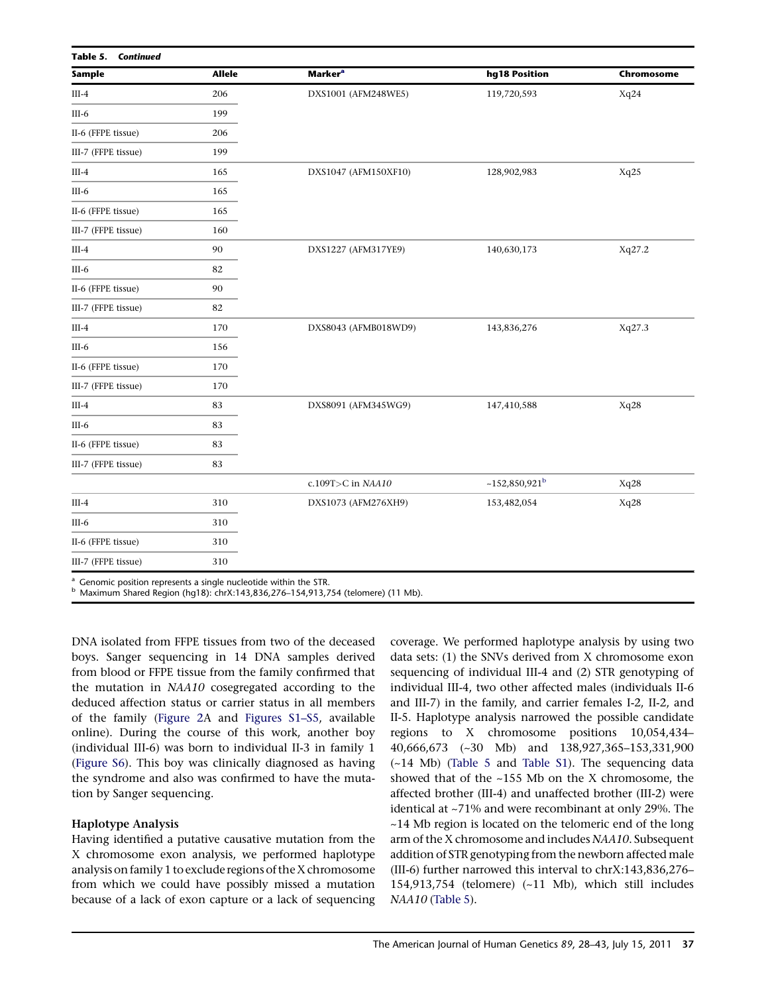<span id="page-9-0"></span>

| Sample              | <b>Allele</b> | <b>Marker</b> <sup>a</sup> | hg18 Position               | Chromosome |
|---------------------|---------------|----------------------------|-----------------------------|------------|
|                     |               |                            |                             |            |
| $III-4$             | 206           | DXS1001 (AFM248WE5)        | 119,720,593                 | Xq24       |
| $III-6$             | 199           |                            |                             |            |
| II-6 (FFPE tissue)  | 206           |                            |                             |            |
| III-7 (FFPE tissue) | 199           |                            |                             |            |
| $III-4$             | 165           | DXS1047 (AFM150XF10)       | 128,902,983                 | Xq25       |
| $III-6$             | 165           |                            |                             |            |
| II-6 (FFPE tissue)  | 165           |                            |                             |            |
| III-7 (FFPE tissue) | 160           |                            |                             |            |
| $III-4$             | 90            | DXS1227 (AFM317YE9)        | 140,630,173                 | Xq27.2     |
| $III-6$             | 82            |                            |                             |            |
| II-6 (FFPE tissue)  | 90            |                            |                             |            |
| III-7 (FFPE tissue) | 82            |                            |                             |            |
| $III-4$             | 170           | DXS8043 (AFMB018WD9)       | 143,836,276                 | Xq27.3     |
| $III-6$             | 156           |                            |                             |            |
| II-6 (FFPE tissue)  | 170           |                            |                             |            |
| III-7 (FFPE tissue) | 170           |                            |                             |            |
| $III-4$             | 83            | DXS8091 (AFM345WG9)        | 147,410,588                 | Xq28       |
| $III-6$             | 83            |                            |                             |            |
| II-6 (FFPE tissue)  | 83            |                            |                             |            |
| III-7 (FFPE tissue) | 83            |                            |                             |            |
|                     |               | c.109T>C in NAA10          | $~152,850,921$ <sup>b</sup> | Xq28       |
| $III-4$             | 310           | DXS1073 (AFM276XH9)        | 153,482,054                 | Xq28       |
| $III-6$             | 310           |                            |                             |            |
| II-6 (FFPE tissue)  | 310           |                            |                             |            |
| III-7 (FFPE tissue) | 310           |                            |                             |            |

<sup>a</sup> Genomic position represents a single nucleotide within the STR. <sup>b</sup> Maximum Shared Region (hg18): chrX:143,836,276–154,913,754 (telomere) (11 Mb).

DNA isolated from FFPE tissues from two of the deceased boys. Sanger sequencing in 14 DNA samples derived from blood or FFPE tissue from the family confirmed that the mutation in NAA10 cosegregated according to the deduced affection status or carrier status in all members of the family [\(Figure 2](#page-5-0)A and [Figures S1–S5](#page-13-0), available online). During the course of this work, another boy (individual III-6) was born to individual II-3 in family 1 ([Figure S6](#page-13-0)). This boy was clinically diagnosed as having the syndrome and also was confirmed to have the mutation by Sanger sequencing.

### Haplotype Analysis

Having identified a putative causative mutation from the X chromosome exon analysis, we performed haplotype analysis on family 1 to exclude regions of the X chromosome from which we could have possibly missed a mutation because of a lack of exon capture or a lack of sequencing

coverage. We performed haplotype analysis by using two data sets: (1) the SNVs derived from X chromosome exon sequencing of individual III-4 and (2) STR genotyping of individual III-4, two other affected males (individuals II-6 and III-7) in the family, and carrier females I-2, II-2, and II-5. Haplotype analysis narrowed the possible candidate regions to X chromosome positions 10,054,434– 40,666,673 (~30 Mb) and 138,927,365–153,331,900 (~14 Mb) [\(Table 5](#page-8-0) and [Table S1](#page-13-0)). The sequencing data showed that of the ~155 Mb on the X chromosome, the affected brother (III-4) and unaffected brother (III-2) were identical at ~71% and were recombinant at only 29%. The ~14 Mb region is located on the telomeric end of the long arm of the X chromosome and includes NAA10. Subsequent addition of STR genotyping from the newborn affected male (III-6) further narrowed this interval to chrX:143,836,276– 154,913,754 (telomere) (~11 Mb), which still includes NAA10 ([Table 5](#page-8-0)).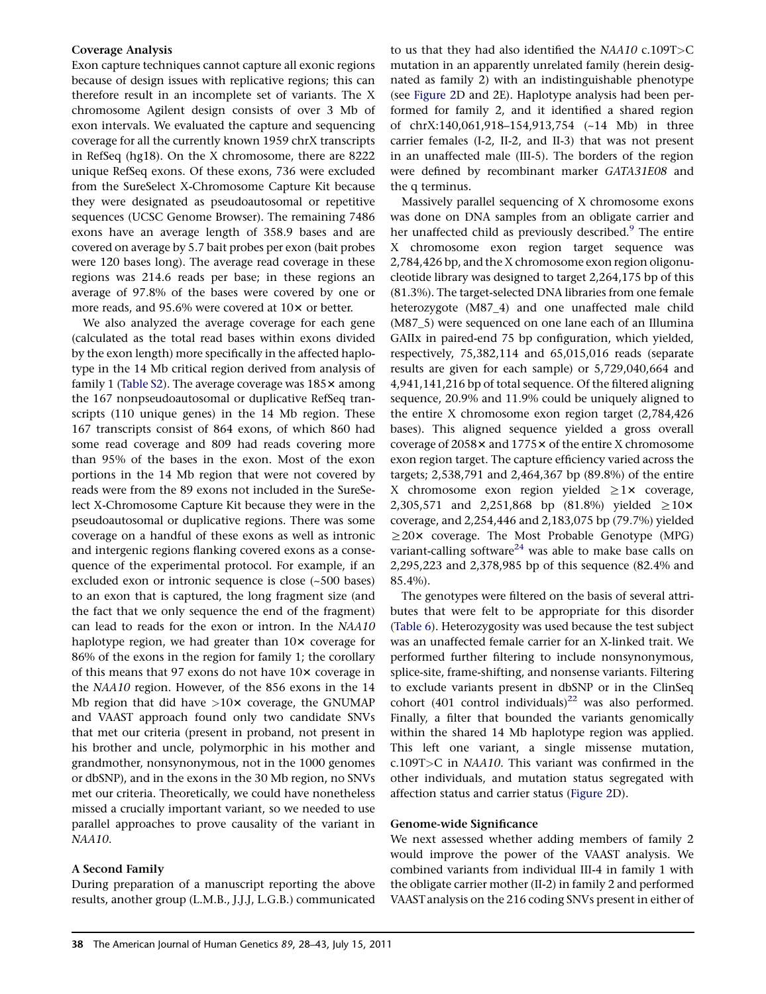#### Coverage Analysis

Exon capture techniques cannot capture all exonic regions because of design issues with replicative regions; this can therefore result in an incomplete set of variants. The X chromosome Agilent design consists of over 3 Mb of exon intervals. We evaluated the capture and sequencing coverage for all the currently known 1959 chrX transcripts in RefSeq (hg18). On the X chromosome, there are 8222 unique RefSeq exons. Of these exons, 736 were excluded from the SureSelect X-Chromosome Capture Kit because they were designated as pseudoautosomal or repetitive sequences (UCSC Genome Browser). The remaining 7486 exons have an average length of 358.9 bases and are covered on average by 5.7 bait probes per exon (bait probes were 120 bases long). The average read coverage in these regions was 214.6 reads per base; in these regions an average of 97.8% of the bases were covered by one or more reads, and 95.6% were covered at  $10\times$  or better.

We also analyzed the average coverage for each gene (calculated as the total read bases within exons divided by the exon length) more specifically in the affected haplotype in the 14 Mb critical region derived from analysis of family 1 [\(Table S2](#page-13-0)). The average coverage was  $185\times$  among the 167 nonpseudoautosomal or duplicative RefSeq transcripts (110 unique genes) in the 14 Mb region. These 167 transcripts consist of 864 exons, of which 860 had some read coverage and 809 had reads covering more than 95% of the bases in the exon. Most of the exon portions in the 14 Mb region that were not covered by reads were from the 89 exons not included in the SureSelect X-Chromosome Capture Kit because they were in the pseudoautosomal or duplicative regions. There was some coverage on a handful of these exons as well as intronic and intergenic regions flanking covered exons as a consequence of the experimental protocol. For example, if an excluded exon or intronic sequence is close (~500 bases) to an exon that is captured, the long fragment size (and the fact that we only sequence the end of the fragment) can lead to reads for the exon or intron. In the NAA10 haplotype region, we had greater than  $10\times$  coverage for 86% of the exons in the region for family 1; the corollary of this means that 97 exons do not have  $10\times$  coverage in the NAA10 region. However, of the 856 exons in the 14 Mb region that did have  $>10x$  coverage, the GNUMAP and VAAST approach found only two candidate SNVs that met our criteria (present in proband, not present in his brother and uncle, polymorphic in his mother and grandmother, nonsynonymous, not in the 1000 genomes or dbSNP), and in the exons in the 30 Mb region, no SNVs met our criteria. Theoretically, we could have nonetheless missed a crucially important variant, so we needed to use parallel approaches to prove causality of the variant in NAA10.

# A Second Family

During preparation of a manuscript reporting the above results, another group (L.M.B., J.J.J, L.G.B.) communicated

to us that they had also identified the NAA10 c.109T>C mutation in an apparently unrelated family (herein designated as family 2) with an indistinguishable phenotype (see [Figure 2](#page-13-0)D and 2E). Haplotype analysis had been performed for family 2, and it identified a shared region of chrX:140,061,918–154,913,754 (~14 Mb) in three carrier females (I-2, II-2, and II-3) that was not present in an unaffected male (III-5). The borders of the region were defined by recombinant marker GATA31E08 and the q terminus.

Massively parallel sequencing of X chromosome exons was done on DNA samples from an obligate carrier and her unaffected child as previously described.<sup>[9](#page-14-0)</sup> The entire X chromosome exon region target sequence was 2,784,426 bp, and the X chromosome exon region oligonucleotide library was designed to target 2,264,175 bp of this (81.3%). The target-selected DNA libraries from one female heterozygote (M87\_4) and one unaffected male child (M87\_5) were sequenced on one lane each of an Illumina GAIIx in paired-end 75 bp configuration, which yielded, respectively, 75,382,114 and 65,015,016 reads (separate results are given for each sample) or 5,729,040,664 and 4,941,141,216 bp of total sequence. Of the filtered aligning sequence, 20.9% and 11.9% could be uniquely aligned to the entire X chromosome exon region target (2,784,426 bases). This aligned sequence yielded a gross overall coverage of  $2058 \times$  and  $1775 \times$  of the entire X chromosome exon region target. The capture efficiency varied across the targets; 2,538,791 and 2,464,367 bp (89.8%) of the entire X chromosome exon region yielded  $\geq 1$ × coverage, 2,305,571 and 2,251,868 bp (81.8%) yielded  $\geq 10$ × coverage, and 2,254,446 and 2,183,075 bp (79.7%) yielded  $\geq$ 20× coverage. The Most Probable Genotype (MPG) variant-calling software<sup>24</sup> was able to make base calls on 2,295,223 and 2,378,985 bp of this sequence (82.4% and 85.4%).

The genotypes were filtered on the basis of several attributes that were felt to be appropriate for this disorder ([Table 6\)](#page-11-0). Heterozygosity was used because the test subject was an unaffected female carrier for an X-linked trait. We performed further filtering to include nonsynonymous, splice-site, frame-shifting, and nonsense variants. Filtering to exclude variants present in dbSNP or in the ClinSeq cohort (401 control individuals)<sup>[22](#page-14-0)</sup> was also performed. Finally, a filter that bounded the variants genomically within the shared 14 Mb haplotype region was applied. This left one variant, a single missense mutation, c.109T>C in NAA10. This variant was confirmed in the other individuals, and mutation status segregated with affection status and carrier status ([Figure 2D](#page-5-0)).

#### Genome-wide Significance

We next assessed whether adding members of family 2 would improve the power of the VAAST analysis. We combined variants from individual III-4 in family 1 with the obligate carrier mother (II-2) in family 2 and performed VAAST analysis on the 216 coding SNVs present in either of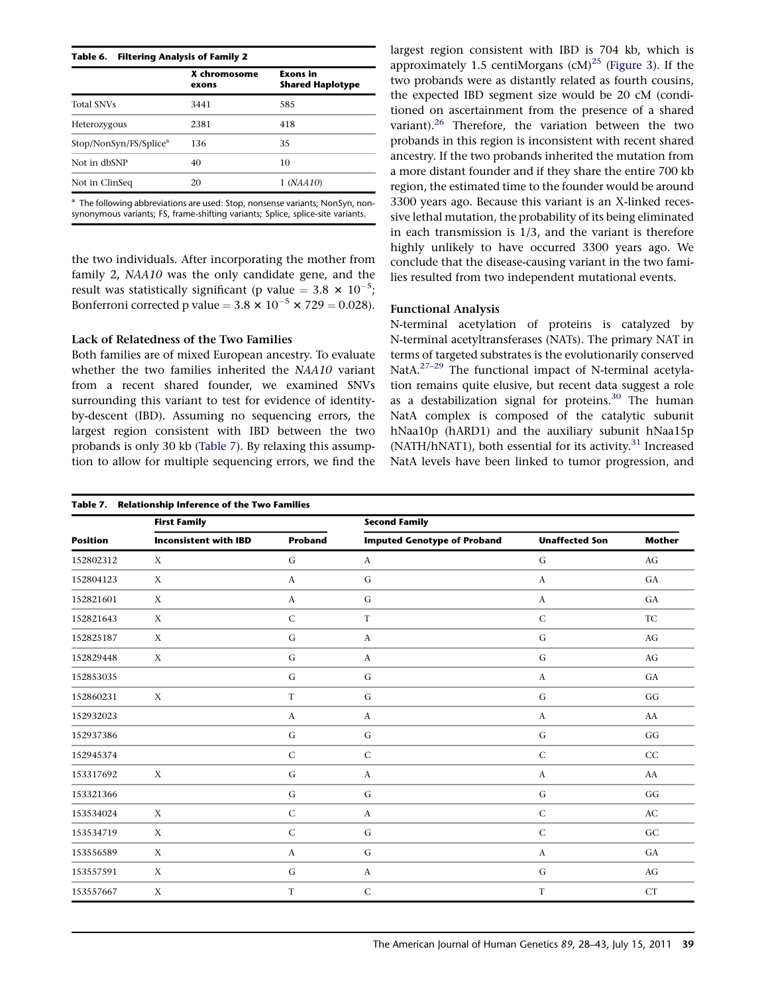<span id="page-11-0"></span>

|                                    | X chromosome<br>exons | <b>Exons</b> in<br><b>Shared Haplotype</b> |
|------------------------------------|-----------------------|--------------------------------------------|
| <b>Total SNVs</b>                  | 3441                  | 585                                        |
| Heterozygous                       | 2381                  | 418                                        |
| Stop/NonSyn/FS/Splice <sup>a</sup> | 136                   | 35                                         |
| Not in dbSNP                       | 40                    | 10                                         |
| Not in ClinSeq                     | 20                    | 1 (NAA10)                                  |

<sup>a</sup> The following abbreviations are used: Stop, nonsense variants; NonSyn, nonsynonymous variants; FS, frame-shifting variants; Splice, splice-site variants.

the two individuals. After incorporating the mother from family 2, NAA10 was the only candidate gene, and the result was statistically significant (p value =  $3.8 \times 10^{-5}$ ; Bonferroni corrected p value =  $3.8 \times 10^{-5} \times 729 = 0.028$ ).

### Lack of Relatedness of the Two Families

Both families are of mixed European ancestry. To evaluate whether the two families inherited the NAA10 variant from a recent shared founder, we examined SNVs surrounding this variant to test for evidence of identityby-descent (IBD). Assuming no sequencing errors, the largest region consistent with IBD between the two probands is only 30 kb (Table 7). By relaxing this assumption to allow for multiple sequencing errors, we find the largest region consistent with IBD is 704 kb, which is approximately 1.5 centiMorgans  $\text{(cM)}^{25}$  $\text{(cM)}^{25}$  $\text{(cM)}^{25}$  [\(Figure 3](#page-12-0)). If the two probands were as distantly related as fourth cousins, the expected IBD segment size would be 20 cM (conditioned on ascertainment from the presence of a shared variant). $26$  Therefore, the variation between the two probands in this region is inconsistent with recent shared ancestry. If the two probands inherited the mutation from a more distant founder and if they share the entire 700 kb region, the estimated time to the founder would be around 3300 years ago. Because this variant is an X-linked recessive lethal mutation, the probability of its being eliminated in each transmission is 1/3, and the variant is therefore highly unlikely to have occurred 3300 years ago. We conclude that the disease-causing variant in the two families resulted from two independent mutational events.

# Functional Analysis

N-terminal acetylation of proteins is catalyzed by N-terminal acetyltransferases (NATs). The primary NAT in terms of targeted substrates is the evolutionarily conserved NatA.<sup>27-29</sup> The functional impact of N-terminal acetylation remains quite elusive, but recent data suggest a role as a destabilization signal for proteins.<sup>[30](#page-15-0)</sup> The human NatA complex is composed of the catalytic subunit hNaa10p (hARD1) and the auxiliary subunit hNaa15p (NATH/hNAT1), both essential for its activity.<sup>31</sup> Increased NatA levels have been linked to tumor progression, and

|                 | Table 7. Relationship Inference of the Two Families |                  |                                    |                       |                        |  |
|-----------------|-----------------------------------------------------|------------------|------------------------------------|-----------------------|------------------------|--|
|                 | <b>First Family</b>                                 |                  | <b>Second Family</b>               |                       |                        |  |
| <b>Position</b> | <b>Inconsistent with IBD</b>                        | <b>Proband</b>   | <b>Imputed Genotype of Proband</b> | <b>Unaffected Son</b> | <b>Mother</b>          |  |
| 152802312       | X                                                   | G                | $\boldsymbol{A}$                   | G                     | AG                     |  |
| 152804123       | X                                                   | $\boldsymbol{A}$ | G                                  | $\boldsymbol{A}$      | GA                     |  |
| 152821601       | X                                                   | $\boldsymbol{A}$ | ${\bf G}$                          | $\boldsymbol{A}$      | GA                     |  |
| 152821643       | $\boldsymbol{X}$                                    | $\mathsf C$      | $\mathbf T$                        | ${\bf C}$             | <b>TC</b>              |  |
| 152825187       | X                                                   | G                | $\boldsymbol{A}$                   | G                     | AG                     |  |
| 152829448       | X                                                   | ${\bf G}$        | $\boldsymbol{A}$                   | ${\bf G}$             | AG                     |  |
| 152853035       |                                                     | $\mathsf G$      | G                                  | $\boldsymbol{A}$      | GA                     |  |
| 152860231       | X                                                   | $\mathbf T$      | ${\bf G}$                          | $\mathbf G$           | GG                     |  |
| 152932023       |                                                     | $\boldsymbol{A}$ | $\boldsymbol{A}$                   | $\boldsymbol{A}$      | AA                     |  |
| 152937386       |                                                     | $\mathsf G$      | ${\bf G}$                          | $\mathbf G$           | GG                     |  |
| 152945374       |                                                     | $\mathsf C$      | ${\bf C}$                          | ${\bf C}$             | CC                     |  |
| 153317692       | X                                                   | G                | $\boldsymbol{A}$                   | $\boldsymbol{A}$      | ${\rm AA}$             |  |
| 153321366       |                                                     | $\mathbf G$      | ${\bf G}$                          | $\mathbf G$           | GG                     |  |
| 153534024       | X                                                   | $\mathsf{C}$     | A                                  | ${\bf C}$             | $\mathbf{A}\mathbf{C}$ |  |
| 153534719       | X                                                   | $\mathsf C$      | $\mathbf G$                        | ${\bf C}$             | GC                     |  |
| 153556589       | $\boldsymbol{X}$                                    | $\boldsymbol{A}$ | G                                  | $\boldsymbol{A}$      | GA                     |  |
| 153557591       | $\boldsymbol{X}$                                    | G                | $\boldsymbol{A}$                   | G                     | AG                     |  |
| 153557667       | X                                                   | T                | ${\bf C}$                          | T                     | <b>CT</b>              |  |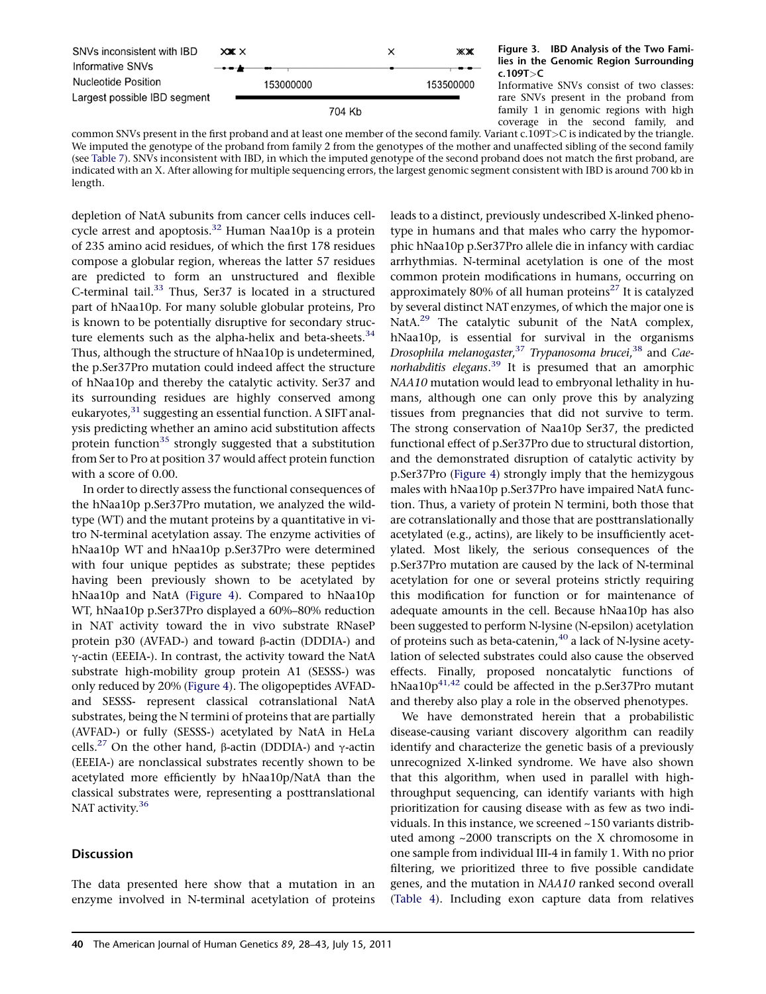<span id="page-12-0"></span>

#### Figure 3. IBD Analysis of the Two Families in the Genomic Region Surrounding c.109T>C

Informative SNVs consist of two classes: rare SNVs present in the proband from family 1 in genomic regions with high coverage in the second family, and

common SNVs present in the first proband and at least one member of the second family. Variant c.109T>C is indicated by the triangle. We imputed the genotype of the proband from family 2 from the genotypes of the mother and unaffected sibling of the second family (see [Table 7\)](#page-11-0). SNVs inconsistent with IBD, in which the imputed genotype of the second proband does not match the first proband, are indicated with an X. After allowing for multiple sequencing errors, the largest genomic segment consistent with IBD is around 700 kb in length.

depletion of NatA subunits from cancer cells induces cell-cycle arrest and apoptosis.<sup>[32](#page-15-0)</sup> Human Naa10p is a protein of 235 amino acid residues, of which the first 178 residues compose a globular region, whereas the latter 57 residues are predicted to form an unstructured and flexible C-terminal tail.<sup>33</sup> Thus, Ser37 is located in a structured part of hNaa10p. For many soluble globular proteins, Pro is known to be potentially disruptive for secondary structure elements such as the alpha-helix and beta-sheets. $34$ Thus, although the structure of hNaa10p is undetermined, the p.Ser37Pro mutation could indeed affect the structure of hNaa10p and thereby the catalytic activity. Ser37 and its surrounding residues are highly conserved among eukaryotes,<sup>31</sup> suggesting an essential function. A SIFT analysis predicting whether an amino acid substitution affects protein function<sup>[35](#page-15-0)</sup> strongly suggested that a substitution from Ser to Pro at position 37 would affect protein function with a score of 0.00.

In order to directly assess the functional consequences of the hNaa10p p.Ser37Pro mutation, we analyzed the wildtype (WT) and the mutant proteins by a quantitative in vitro N-terminal acetylation assay. The enzyme activities of hNaa10p WT and hNaa10p p.Ser37Pro were determined with four unique peptides as substrate; these peptides having been previously shown to be acetylated by hNaa10p and NatA [\(Figure 4\)](#page-13-0). Compared to hNaa10p WT, hNaa10p p.Ser37Pro displayed a 60%–80% reduction in NAT activity toward the in vivo substrate RNaseP protein  $p30$  (AVFAD-) and toward  $\beta$ -actin (DDDIA-) and  $\gamma$ -actin (EEEIA-). In contrast, the activity toward the NatA substrate high-mobility group protein A1 (SESSS-) was only reduced by 20% ([Figure 4](#page-13-0)). The oligopeptides AVFADand SESSS- represent classical cotranslational NatA substrates, being the N termini of proteins that are partially (AVFAD-) or fully (SESSS-) acetylated by NatA in HeLa cells.<sup>[27](#page-15-0)</sup> On the other hand,  $\beta$ -actin (DDDIA-) and  $\gamma$ -actin (EEEIA-) are nonclassical substrates recently shown to be acetylated more efficiently by hNaa10p/NatA than the classical substrates were, representing a posttranslational NAT activity.<sup>[36](#page-15-0)</sup>

# **Discussion**

The data presented here show that a mutation in an enzyme involved in N-terminal acetylation of proteins

leads to a distinct, previously undescribed X-linked phenotype in humans and that males who carry the hypomorphic hNaa10p p.Ser37Pro allele die in infancy with cardiac arrhythmias. N-terminal acetylation is one of the most common protein modifications in humans, occurring on approximately 80% of all human proteins<sup>[27](#page-15-0)</sup> It is catalyzed by several distinct NAT enzymes, of which the major one is NatA.<sup>[29](#page-15-0)</sup> The catalytic subunit of the NatA complex, hNaa10p, is essential for survival in the organisms Drosophila melanogaster,<sup>[37](#page-15-0)</sup> Trypanosoma brucei,<sup>[38](#page-15-0)</sup> and Cae-norhabditis elegans.<sup>[39](#page-15-0)</sup> It is presumed that an amorphic NAA10 mutation would lead to embryonal lethality in humans, although one can only prove this by analyzing tissues from pregnancies that did not survive to term. The strong conservation of Naa10p Ser37, the predicted functional effect of p.Ser37Pro due to structural distortion, and the demonstrated disruption of catalytic activity by p.Ser37Pro ([Figure 4\)](#page-13-0) strongly imply that the hemizygous males with hNaa10p p.Ser37Pro have impaired NatA function. Thus, a variety of protein N termini, both those that are cotranslationally and those that are posttranslationally acetylated (e.g., actins), are likely to be insufficiently acetylated. Most likely, the serious consequences of the p.Ser37Pro mutation are caused by the lack of N-terminal acetylation for one or several proteins strictly requiring this modification for function or for maintenance of adequate amounts in the cell. Because hNaa10p has also been suggested to perform N-lysine (N-epsilon) acetylation of proteins such as beta-catenin, $40$  a lack of N-lysine acetylation of selected substrates could also cause the observed effects. Finally, proposed noncatalytic functions of hNaa10 $p^{41,42}$  could be affected in the p.Ser37Pro mutant and thereby also play a role in the observed phenotypes.

We have demonstrated herein that a probabilistic disease-causing variant discovery algorithm can readily identify and characterize the genetic basis of a previously unrecognized X-linked syndrome. We have also shown that this algorithm, when used in parallel with highthroughput sequencing, can identify variants with high prioritization for causing disease with as few as two individuals. In this instance, we screened ~150 variants distributed among ~2000 transcripts on the X chromosome in one sample from individual III-4 in family 1. With no prior filtering, we prioritized three to five possible candidate genes, and the mutation in NAA10 ranked second overall ([Table 4](#page-7-0)). Including exon capture data from relatives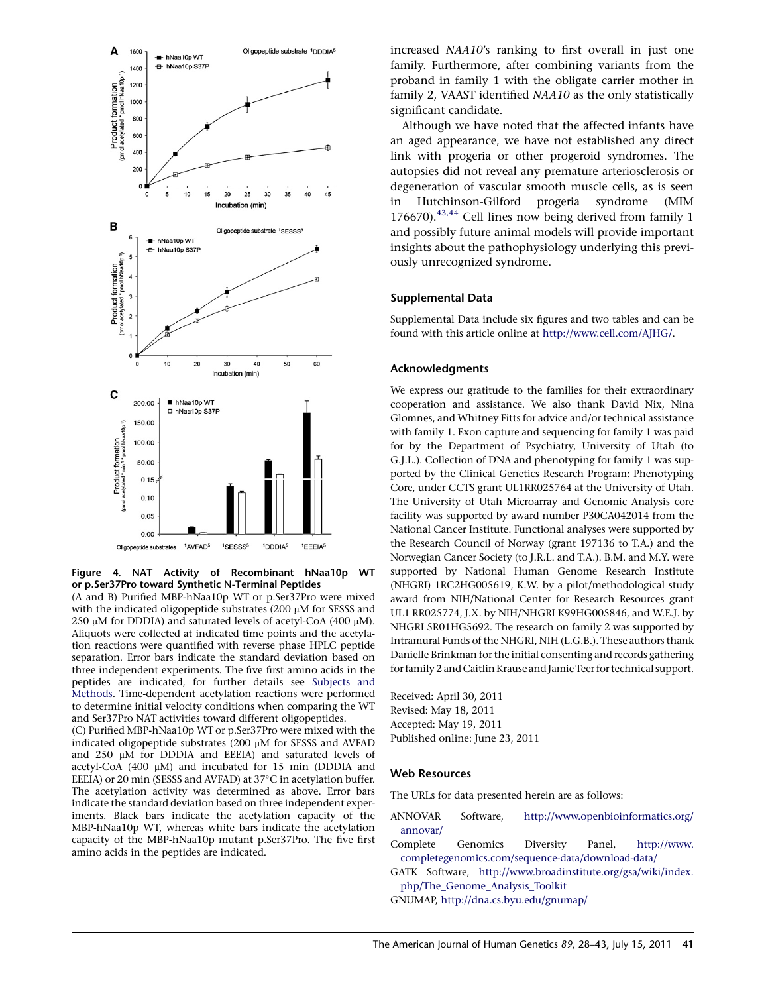<span id="page-13-0"></span>

Figure 4. NAT Activity of Recombinant hNaa10p WT or p.Ser37Pro toward Synthetic N-Terminal Peptides

(A and B) Purified MBP-hNaa10p WT or p.Ser37Pro were mixed with the indicated oligopeptide substrates (200  $\mu$ M for SESSS and 250  $\mu$ M for DDDIA) and saturated levels of acetyl-CoA (400  $\mu$ M). Aliquots were collected at indicated time points and the acetylation reactions were quantified with reverse phase HPLC peptide separation. Error bars indicate the standard deviation based on three independent experiments. The five first amino acids in the peptides are indicated, for further details see [Subjects and](#page-0-0) [Methods.](#page-0-0) Time-dependent acetylation reactions were performed to determine initial velocity conditions when comparing the WT and Ser37Pro NAT activities toward different oligopeptides.

(C) Purified MBP-hNaa10p WT or p.Ser37Pro were mixed with the indicated oligopeptide substrates  $(200 \mu M)$  for SESSS and AVFAD and  $250 \mu M$  for DDDIA and EEEIA) and saturated levels of acetyl-CoA  $(400 \mu M)$  and incubated for 15 min (DDDIA and EEEIA) or 20 min (SESSS and AVFAD) at 37°C in acetylation buffer. The acetylation activity was determined as above. Error bars indicate the standard deviation based on three independent experiments. Black bars indicate the acetylation capacity of the MBP-hNaa10p WT, whereas white bars indicate the acetylation capacity of the MBP-hNaa10p mutant p.Ser37Pro. The five first amino acids in the peptides are indicated.

increased NAA10's ranking to first overall in just one family. Furthermore, after combining variants from the proband in family 1 with the obligate carrier mother in family 2, VAAST identified NAA10 as the only statistically significant candidate.

Although we have noted that the affected infants have an aged appearance, we have not established any direct link with progeria or other progeroid syndromes. The autopsies did not reveal any premature arteriosclerosis or degeneration of vascular smooth muscle cells, as is seen in Hutchinson-Gilford progeria syndrome (MIM 176670). $43,44$  Cell lines now being derived from family 1 and possibly future animal models will provide important insights about the pathophysiology underlying this previously unrecognized syndrome.

#### Supplemental Data

Supplemental Data include six figures and two tables and can be found with this article online at [http://www.cell.com/AJHG/.](http://www.cell.com/AJHG/)

#### Acknowledgments

We express our gratitude to the families for their extraordinary cooperation and assistance. We also thank David Nix, Nina Glomnes, and Whitney Fitts for advice and/or technical assistance with family 1. Exon capture and sequencing for family 1 was paid for by the Department of Psychiatry, University of Utah (to G.J.L.). Collection of DNA and phenotyping for family 1 was supported by the Clinical Genetics Research Program: Phenotyping Core, under CCTS grant UL1RR025764 at the University of Utah. The University of Utah Microarray and Genomic Analysis core facility was supported by award number P30CA042014 from the National Cancer Institute. Functional analyses were supported by the Research Council of Norway (grant 197136 to T.A.) and the Norwegian Cancer Society (to J.R.L. and T.A.). B.M. and M.Y. were supported by National Human Genome Research Institute (NHGRI) 1RC2HG005619, K.W. by a pilot/methodological study award from NIH/National Center for Research Resources grant UL1 RR025774, J.X. by NIH/NHGRI K99HG005846, and W.E.J. by NHGRI 5R01HG5692. The research on family 2 was supported by Intramural Funds of the NHGRI, NIH (L.G.B.). These authors thank Danielle Brinkman for the initial consenting and records gathering for family 2 and Caitlin Krause and Jamie Teer for technical support.

Received: April 30, 2011 Revised: May 18, 2011 Accepted: May 19, 2011 Published online: June 23, 2011

#### Web Resources

The URLs for data presented herein are as follows:

- ANNOVAR Software, [http://www.openbioinformatics.org/](http://www.openbioinformatics.org/annovar/) [annovar/](http://www.openbioinformatics.org/annovar/)
- Complete Genomics Diversity Panel, [http://www.](http://www.completegenomics.com/sequence-data/download-data/) [completegenomics.com/sequence-data/download-data/](http://www.completegenomics.com/sequence-data/download-data/)
- GATK Software, [http://www.broadinstitute.org/gsa/wiki/index.](http://www.broadinstitute.org/gsa/wiki/index.php/The_Genome_Analysis_Toolkit) [php/The\\_Genome\\_Analysis\\_Toolkit](http://www.broadinstitute.org/gsa/wiki/index.php/The_Genome_Analysis_Toolkit)
- GNUMAP, <http://dna.cs.byu.edu/gnumap/>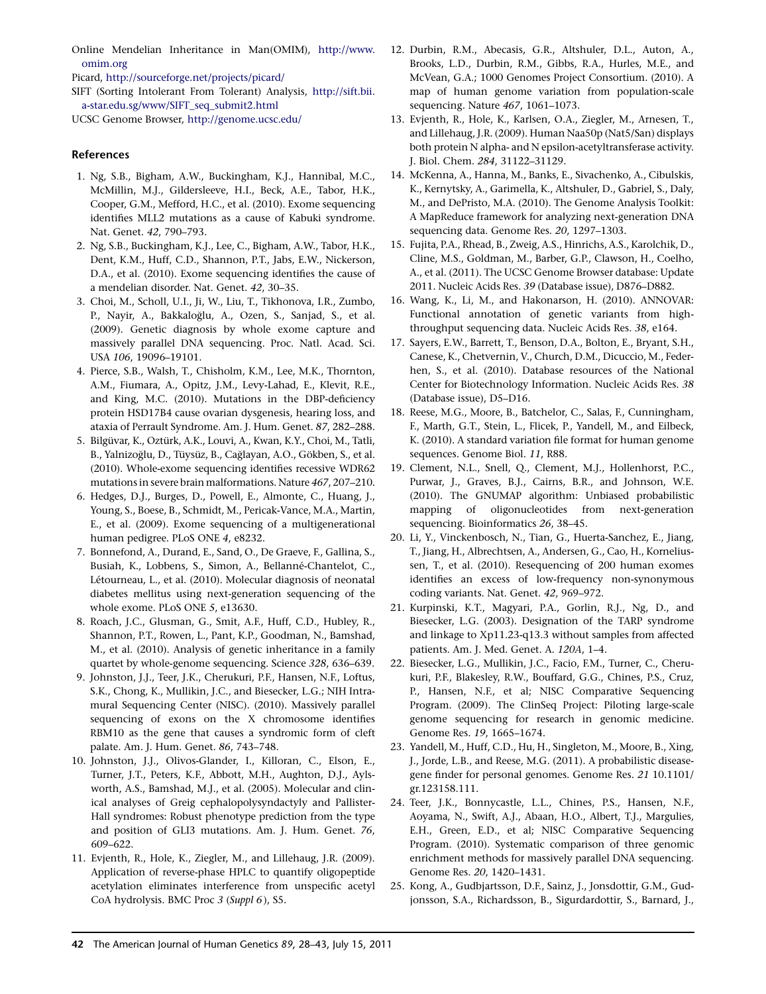<span id="page-14-0"></span>Online Mendelian Inheritance in Man(OMIM), [http://www.](http://www.omim.org) [omim.org](http://www.omim.org)

Picard, <http://sourceforge.net/projects/picard/>

SIFT (Sorting Intolerant From Tolerant) Analysis, [http://sift.bii.](http://sift.bii.a-star.edu.sg/www/SIFT_seq_submit2.html) [a-star.edu.sg/www/SIFT\\_seq\\_submit2.html](http://sift.bii.a-star.edu.sg/www/SIFT_seq_submit2.html)

UCSC Genome Browser, <http://genome.ucsc.edu/>

### References

- 1. Ng, S.B., Bigham, A.W., Buckingham, K.J., Hannibal, M.C., McMillin, M.J., Gildersleeve, H.I., Beck, A.E., Tabor, H.K., Cooper, G.M., Mefford, H.C., et al. (2010). Exome sequencing identifies MLL2 mutations as a cause of Kabuki syndrome. Nat. Genet. 42, 790–793.
- 2. Ng, S.B., Buckingham, K.J., Lee, C., Bigham, A.W., Tabor, H.K., Dent, K.M., Huff, C.D., Shannon, P.T., Jabs, E.W., Nickerson, D.A., et al. (2010). Exome sequencing identifies the cause of a mendelian disorder. Nat. Genet. 42, 30–35.
- 3. Choi, M., Scholl, U.I., Ji, W., Liu, T., Tikhonova, I.R., Zumbo, P., Nayir, A., Bakkaloglu, A., Ozen, S., Sanjad, S., et al. (2009). Genetic diagnosis by whole exome capture and massively parallel DNA sequencing. Proc. Natl. Acad. Sci. USA 106, 19096–19101.
- 4. Pierce, S.B., Walsh, T., Chisholm, K.M., Lee, M.K., Thornton, A.M., Fiumara, A., Opitz, J.M., Levy-Lahad, E., Klevit, R.E., and King, M.C. (2010). Mutations in the DBP-deficiency protein HSD17B4 cause ovarian dysgenesis, hearing loss, and ataxia of Perrault Syndrome. Am. J. Hum. Genet. 87, 282–288.
- 5. Bilgüvar, K., Oztürk, A.K., Louvi, A., Kwan, K.Y., Choi, M., Tatli, B., Yalnizoğlu, D., Tüysüz, B., Cağlayan, A.O., Gökben, S., et al. (2010). Whole-exome sequencing identifies recessive WDR62 mutations in severe brain malformations. Nature 467, 207–210.
- 6. Hedges, D.J., Burges, D., Powell, E., Almonte, C., Huang, J., Young, S., Boese, B., Schmidt, M., Pericak-Vance, M.A., Martin, E., et al. (2009). Exome sequencing of a multigenerational human pedigree. PLoS ONE 4, e8232.
- 7. Bonnefond, A., Durand, E., Sand, O., De Graeve, F., Gallina, S., Busiah, K., Lobbens, S., Simon, A., Bellanné-Chantelot, C., Létourneau, L., et al. (2010). Molecular diagnosis of neonatal diabetes mellitus using next-generation sequencing of the whole exome. PLoS ONE 5, e13630.
- 8. Roach, J.C., Glusman, G., Smit, A.F., Huff, C.D., Hubley, R., Shannon, P.T., Rowen, L., Pant, K.P., Goodman, N., Bamshad, M., et al. (2010). Analysis of genetic inheritance in a family quartet by whole-genome sequencing. Science 328, 636–639.
- 9. Johnston, J.J., Teer, J.K., Cherukuri, P.F., Hansen, N.F., Loftus, S.K., Chong, K., Mullikin, J.C., and Biesecker, L.G.; NIH Intramural Sequencing Center (NISC). (2010). Massively parallel sequencing of exons on the X chromosome identifies RBM10 as the gene that causes a syndromic form of cleft palate. Am. J. Hum. Genet. 86, 743–748.
- 10. Johnston, J.J., Olivos-Glander, I., Killoran, C., Elson, E., Turner, J.T., Peters, K.F., Abbott, M.H., Aughton, D.J., Aylsworth, A.S., Bamshad, M.J., et al. (2005). Molecular and clinical analyses of Greig cephalopolysyndactyly and Pallister-Hall syndromes: Robust phenotype prediction from the type and position of GLI3 mutations. Am. J. Hum. Genet. 76, 609–622.
- 11. Evjenth, R., Hole, K., Ziegler, M., and Lillehaug, J.R. (2009). Application of reverse-phase HPLC to quantify oligopeptide acetylation eliminates interference from unspecific acetyl CoA hydrolysis. BMC Proc 3 (Suppl 6), S5.
- 12. Durbin, R.M., Abecasis, G.R., Altshuler, D.L., Auton, A., Brooks, L.D., Durbin, R.M., Gibbs, R.A., Hurles, M.E., and McVean, G.A.; 1000 Genomes Project Consortium. (2010). A map of human genome variation from population-scale sequencing. Nature 467, 1061–1073.
- 13. Evjenth, R., Hole, K., Karlsen, O.A., Ziegler, M., Arnesen, T., and Lillehaug, J.R. (2009). Human Naa50p (Nat5/San) displays both protein N alpha- and N epsilon-acetyltransferase activity. J. Biol. Chem. 284, 31122–31129.
- 14. McKenna, A., Hanna, M., Banks, E., Sivachenko, A., Cibulskis, K., Kernytsky, A., Garimella, K., Altshuler, D., Gabriel, S., Daly, M., and DePristo, M.A. (2010). The Genome Analysis Toolkit: A MapReduce framework for analyzing next-generation DNA sequencing data. Genome Res. 20, 1297–1303.
- 15. Fujita, P.A., Rhead, B., Zweig, A.S., Hinrichs, A.S., Karolchik, D., Cline, M.S., Goldman, M., Barber, G.P., Clawson, H., Coelho, A., et al. (2011). The UCSC Genome Browser database: Update 2011. Nucleic Acids Res. 39 (Database issue), D876–D882.
- 16. Wang, K., Li, M., and Hakonarson, H. (2010). ANNOVAR: Functional annotation of genetic variants from highthroughput sequencing data. Nucleic Acids Res. 38, e164.
- 17. Sayers, E.W., Barrett, T., Benson, D.A., Bolton, E., Bryant, S.H., Canese, K., Chetvernin, V., Church, D.M., Dicuccio, M., Federhen, S., et al. (2010). Database resources of the National Center for Biotechnology Information. Nucleic Acids Res. 38 (Database issue), D5–D16.
- 18. Reese, M.G., Moore, B., Batchelor, C., Salas, F., Cunningham, F., Marth, G.T., Stein, L., Flicek, P., Yandell, M., and Eilbeck, K. (2010). A standard variation file format for human genome sequences. Genome Biol. 11, R88.
- 19. Clement, N.L., Snell, Q., Clement, M.J., Hollenhorst, P.C., Purwar, J., Graves, B.J., Cairns, B.R., and Johnson, W.E. (2010). The GNUMAP algorithm: Unbiased probabilistic mapping of oligonucleotides from next-generation sequencing. Bioinformatics 26, 38–45.
- 20. Li, Y., Vinckenbosch, N., Tian, G., Huerta-Sanchez, E., Jiang, T., Jiang, H., Albrechtsen, A., Andersen, G., Cao, H., Korneliussen, T., et al. (2010). Resequencing of 200 human exomes identifies an excess of low-frequency non-synonymous coding variants. Nat. Genet. 42, 969–972.
- 21. Kurpinski, K.T., Magyari, P.A., Gorlin, R.J., Ng, D., and Biesecker, L.G. (2003). Designation of the TARP syndrome and linkage to Xp11.23-q13.3 without samples from affected patients. Am. J. Med. Genet. A. 120A, 1–4.
- 22. Biesecker, L.G., Mullikin, J.C., Facio, F.M., Turner, C., Cherukuri, P.F., Blakesley, R.W., Bouffard, G.G., Chines, P.S., Cruz, P., Hansen, N.F., et al; NISC Comparative Sequencing Program. (2009). The ClinSeq Project: Piloting large-scale genome sequencing for research in genomic medicine. Genome Res. 19, 1665–1674.
- 23. Yandell, M., Huff, C.D., Hu, H., Singleton, M., Moore, B., Xing, J., Jorde, L.B., and Reese, M.G. (2011). A probabilistic diseasegene finder for personal genomes. Genome Res. 21 10.1101/ gr.123158.111.
- 24. Teer, J.K., Bonnycastle, L.L., Chines, P.S., Hansen, N.F., Aoyama, N., Swift, A.J., Abaan, H.O., Albert, T.J., Margulies, E.H., Green, E.D., et al; NISC Comparative Sequencing Program. (2010). Systematic comparison of three genomic enrichment methods for massively parallel DNA sequencing. Genome Res. 20, 1420–1431.
- 25. Kong, A., Gudbjartsson, D.F., Sainz, J., Jonsdottir, G.M., Gudjonsson, S.A., Richardsson, B., Sigurdardottir, S., Barnard, J.,